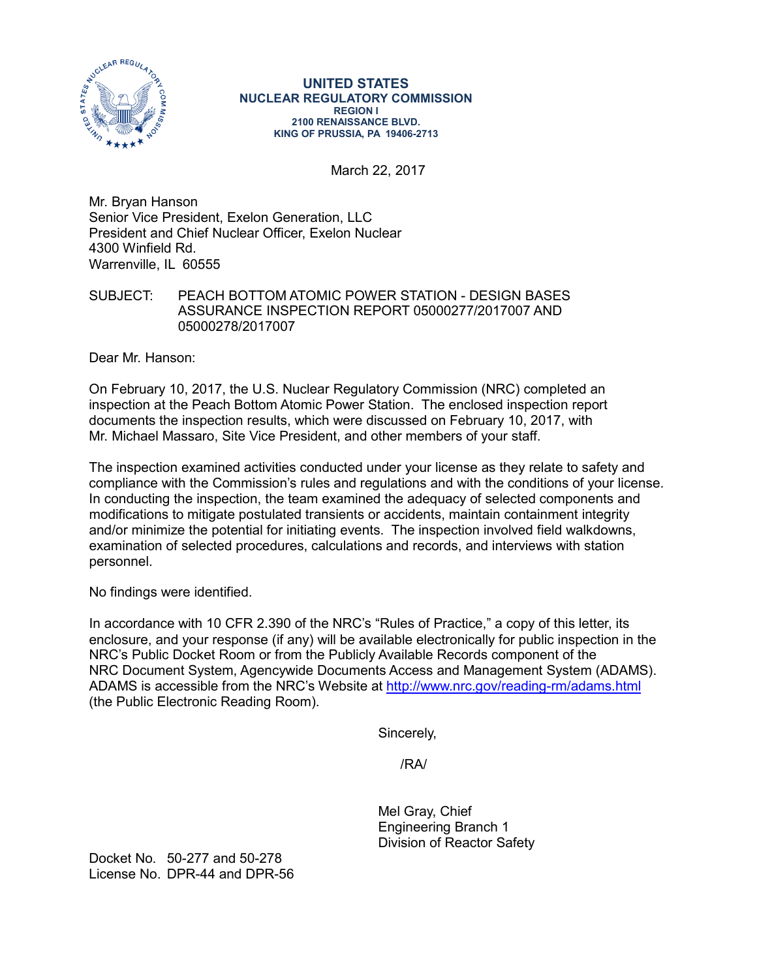

#### **UNITED STATES NUCLEAR REGULATORY COMMISSION REGION I 2100 RENAISSANCE BLVD. KING OF PRUSSIA, PA 19406-2713**

March 22, 2017

Mr. Bryan Hanson Senior Vice President, Exelon Generation, LLC President and Chief Nuclear Officer, Exelon Nuclear 4300 Winfield Rd. Warrenville, IL 60555

## SUBJECT: PEACH BOTTOM ATOMIC POWER STATION - DESIGN BASES ASSURANCE INSPECTION REPORT 05000277/2017007 AND 05000278/2017007

Dear Mr. Hanson:

On February 10, 2017, the U.S. Nuclear Regulatory Commission (NRC) completed an inspection at the Peach Bottom Atomic Power Station. The enclosed inspection report documents the inspection results, which were discussed on February 10, 2017, with Mr. Michael Massaro, Site Vice President, and other members of your staff.

The inspection examined activities conducted under your license as they relate to safety and compliance with the Commission's rules and regulations and with the conditions of your license. In conducting the inspection, the team examined the adequacy of selected components and modifications to mitigate postulated transients or accidents, maintain containment integrity and/or minimize the potential for initiating events. The inspection involved field walkdowns, examination of selected procedures, calculations and records, and interviews with station personnel.

No findings were identified.

In accordance with 10 CFR 2.390 of the NRC's "Rules of Practice," a copy of this letter, its enclosure, and your response (if any) will be available electronically for public inspection in the NRC's Public Docket Room or from the Publicly Available Records component of the NRC Document System, Agencywide Documents Access and Management System (ADAMS). ADAMS is accessible from the NRC's Website at<http://www.nrc.gov/reading-rm/adams.html> (the Public Electronic Reading Room).

Sincerely,

/RA/

Mel Gray, Chief Engineering Branch 1 Division of Reactor Safety

Docket No. 50-277 and 50-278 License No. DPR-44 and DPR-56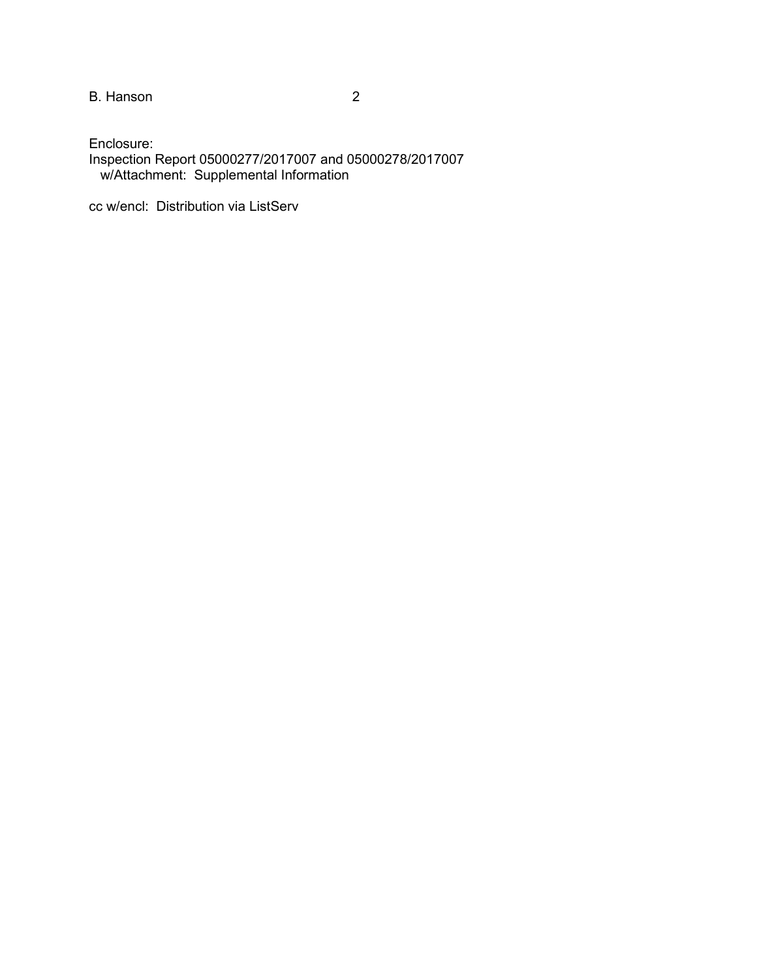B. Hanson 2

Enclosure: Inspection Report 05000277/2017007 and 05000278/2017007 w/Attachment: Supplemental Information

cc w/encl: Distribution via ListServ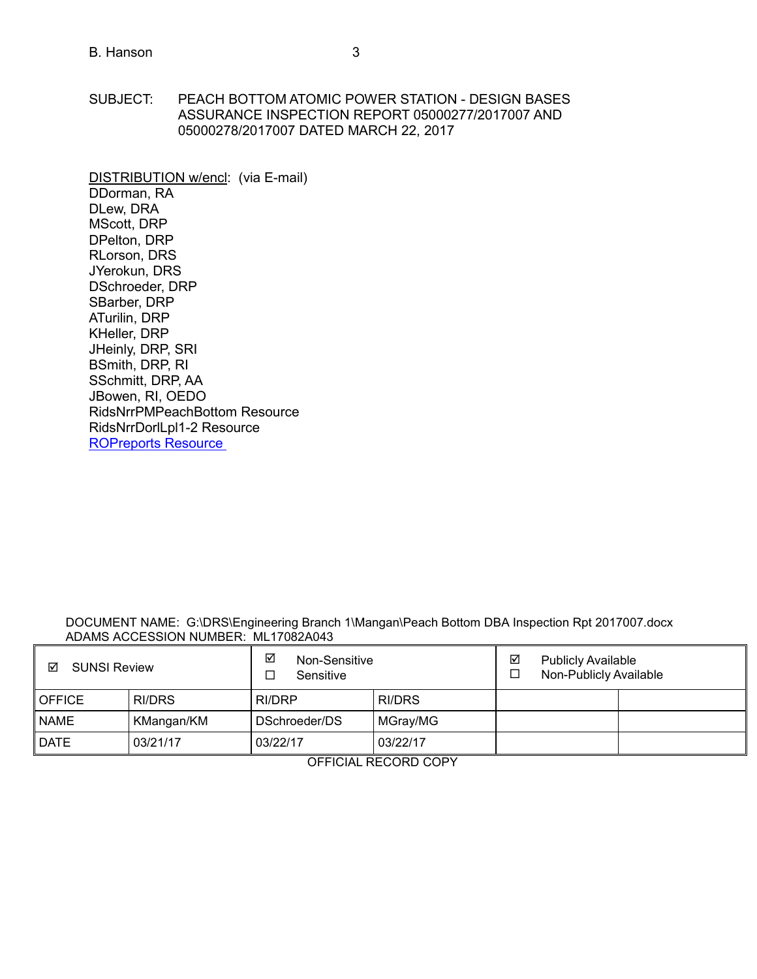- SUBJECT: PEACH BOTTOM ATOMIC POWER STATION DESIGN BASES ASSURANCE INSPECTION REPORT 05000277/2017007 AND 05000278/2017007 DATED MARCH 22, 2017
- DISTRIBUTION w/encl: (via E-mail) DDorman, RA DLew, DRA MScott, DRP DPelton, DRP RLorson, DRS JYerokun, DRS DSchroeder, DRP SBarber, DRP ATurilin, DRP KHeller, DRP JHeinly, DRP, SRI BSmith, DRP, RI SSchmitt, DRP, AA JBowen, RI, OEDO RidsNrrPMPeachBottom Resource RidsNrrDorlLpl1-2 Resource [ROPreports Reso](mailto:ROPreportsResource@nrc.gov)urce

#### DOCUMENT NAME: G:\DRS\Engineering Branch 1\Mangan\Peach Bottom DBA Inspection Rpt 2017007.docx ADAMS ACCESSION NUMBER: ML17082A043

| ☑<br><b>SUNSI Review</b> |            | ⊻<br>Non-Sensitive<br>Sensitive |               | ☑<br><b>Publicly Available</b><br>Non-Publicly Available<br>□ |  |  |
|--------------------------|------------|---------------------------------|---------------|---------------------------------------------------------------|--|--|
| <b>OFFICE</b>            | RI/DRS     | RI/DRP                          | <b>RI/DRS</b> |                                                               |  |  |
| <b>NAME</b>              | KMangan/KM | DSchroeder/DS                   | MGray/MG      |                                                               |  |  |
| <b>DATE</b>              | 03/21/17   | 03/22/17                        | 03/22/17      |                                                               |  |  |

OFFICIAL RECORD COPY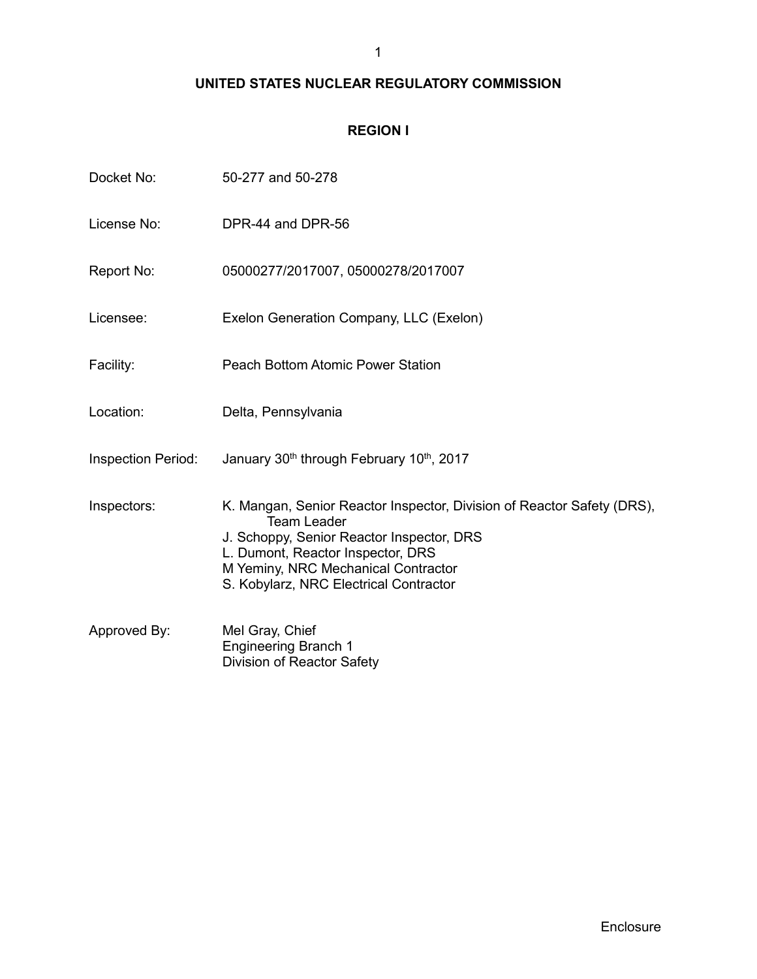# **UNITED STATES NUCLEAR REGULATORY COMMISSION**

## **REGION I**

| Docket No:                | 50-277 and 50-278                                                                                                                                                                                                                                               |
|---------------------------|-----------------------------------------------------------------------------------------------------------------------------------------------------------------------------------------------------------------------------------------------------------------|
| License No:               | DPR-44 and DPR-56                                                                                                                                                                                                                                               |
| Report No:                | 05000277/2017007, 05000278/2017007                                                                                                                                                                                                                              |
| Licensee:                 | Exelon Generation Company, LLC (Exelon)                                                                                                                                                                                                                         |
| Facility:                 | <b>Peach Bottom Atomic Power Station</b>                                                                                                                                                                                                                        |
| Location:                 | Delta, Pennsylvania                                                                                                                                                                                                                                             |
| <b>Inspection Period:</b> | January 30th through February 10th, 2017                                                                                                                                                                                                                        |
| Inspectors:               | K. Mangan, Senior Reactor Inspector, Division of Reactor Safety (DRS),<br><b>Team Leader</b><br>J. Schoppy, Senior Reactor Inspector, DRS<br>L. Dumont, Reactor Inspector, DRS<br>M Yeminy, NRC Mechanical Contractor<br>S. Kobylarz, NRC Electrical Contractor |
| Approved By:              | Mel Gray, Chief<br><b>Engineering Branch 1</b><br>Division of Reactor Safety                                                                                                                                                                                    |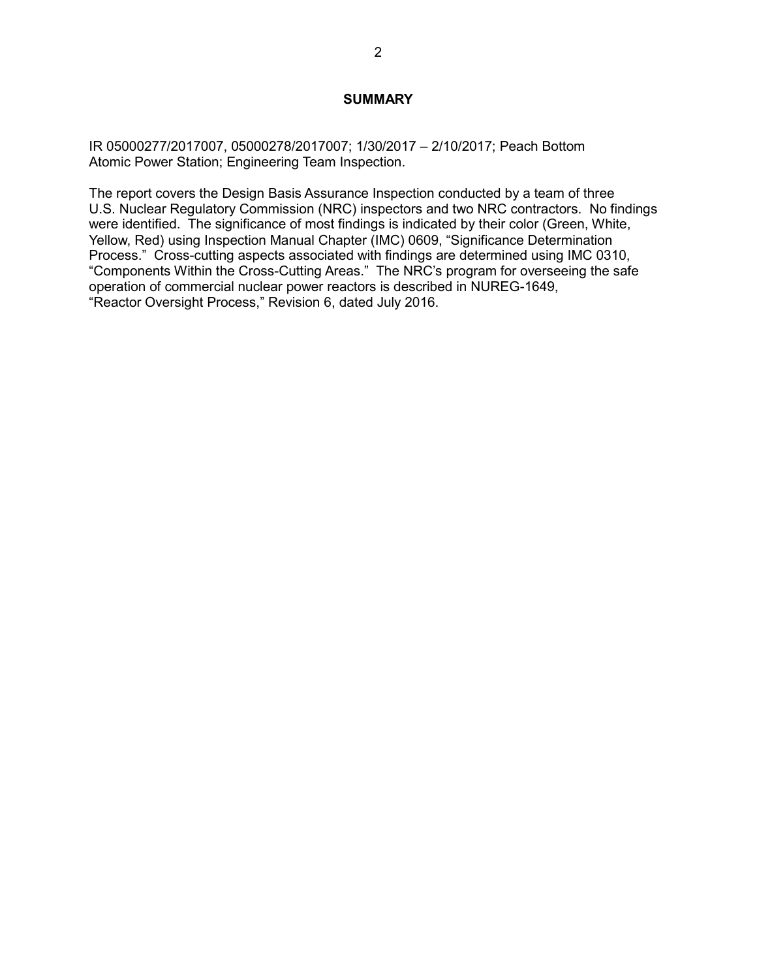#### **SUMMARY**

IR 05000277/2017007, 05000278/2017007; 1/30/2017 – 2/10/2017; Peach Bottom Atomic Power Station; Engineering Team Inspection.

The report covers the Design Basis Assurance Inspection conducted by a team of three U.S. Nuclear Regulatory Commission (NRC) inspectors and two NRC contractors. No findings were identified. The significance of most findings is indicated by their color (Green, White, Yellow, Red) using Inspection Manual Chapter (IMC) 0609, "Significance Determination Process." Cross-cutting aspects associated with findings are determined using IMC 0310, "Components Within the Cross-Cutting Areas." The NRC's program for overseeing the safe operation of commercial nuclear power reactors is described in NUREG-1649, "Reactor Oversight Process," Revision 6, dated July 2016.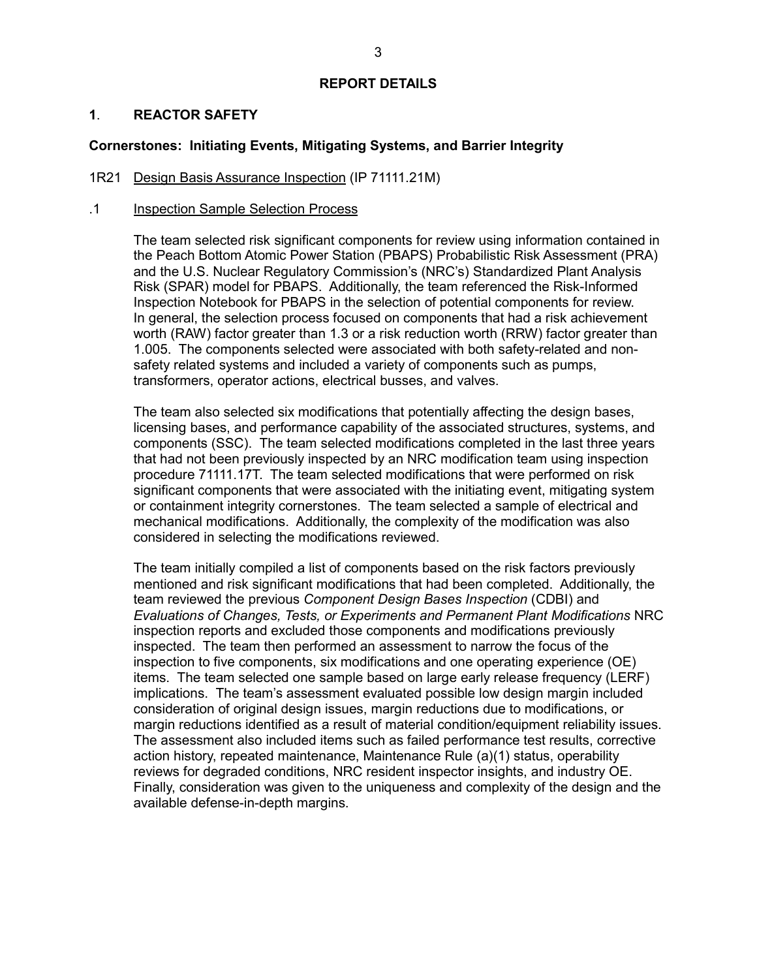## **REPORT DETAILS**

## **1**. **REACTOR SAFETY**

## **Cornerstones: Initiating Events, Mitigating Systems, and Barrier Integrity**

#### 1R21 Design Basis Assurance Inspection (IP 71111.21M)

#### .1 Inspection Sample Selection Process

The team selected risk significant components for review using information contained in the Peach Bottom Atomic Power Station (PBAPS) Probabilistic Risk Assessment (PRA) and the U.S. Nuclear Regulatory Commission's (NRC's) Standardized Plant Analysis Risk (SPAR) model for PBAPS. Additionally, the team referenced the Risk-Informed Inspection Notebook for PBAPS in the selection of potential components for review. In general, the selection process focused on components that had a risk achievement worth (RAW) factor greater than 1.3 or a risk reduction worth (RRW) factor greater than 1.005. The components selected were associated with both safety-related and nonsafety related systems and included a variety of components such as pumps, transformers, operator actions, electrical busses, and valves.

The team also selected six modifications that potentially affecting the design bases, licensing bases, and performance capability of the associated structures, systems, and components (SSC). The team selected modifications completed in the last three years that had not been previously inspected by an NRC modification team using inspection procedure 71111.17T. The team selected modifications that were performed on risk significant components that were associated with the initiating event, mitigating system or containment integrity cornerstones. The team selected a sample of electrical and mechanical modifications. Additionally, the complexity of the modification was also considered in selecting the modifications reviewed.

The team initially compiled a list of components based on the risk factors previously mentioned and risk significant modifications that had been completed. Additionally, the team reviewed the previous *Component Design Bases Inspection* (CDBI) and *Evaluations of Changes, Tests, or Experiments and Permanent Plant Modifications* NRC inspection reports and excluded those components and modifications previously inspected. The team then performed an assessment to narrow the focus of the inspection to five components, six modifications and one operating experience (OE) items. The team selected one sample based on large early release frequency (LERF) implications. The team's assessment evaluated possible low design margin included consideration of original design issues, margin reductions due to modifications, or margin reductions identified as a result of material condition/equipment reliability issues. The assessment also included items such as failed performance test results, corrective action history, repeated maintenance, Maintenance Rule (a)(1) status, operability reviews for degraded conditions, NRC resident inspector insights, and industry OE. Finally, consideration was given to the uniqueness and complexity of the design and the available defense-in-depth margins.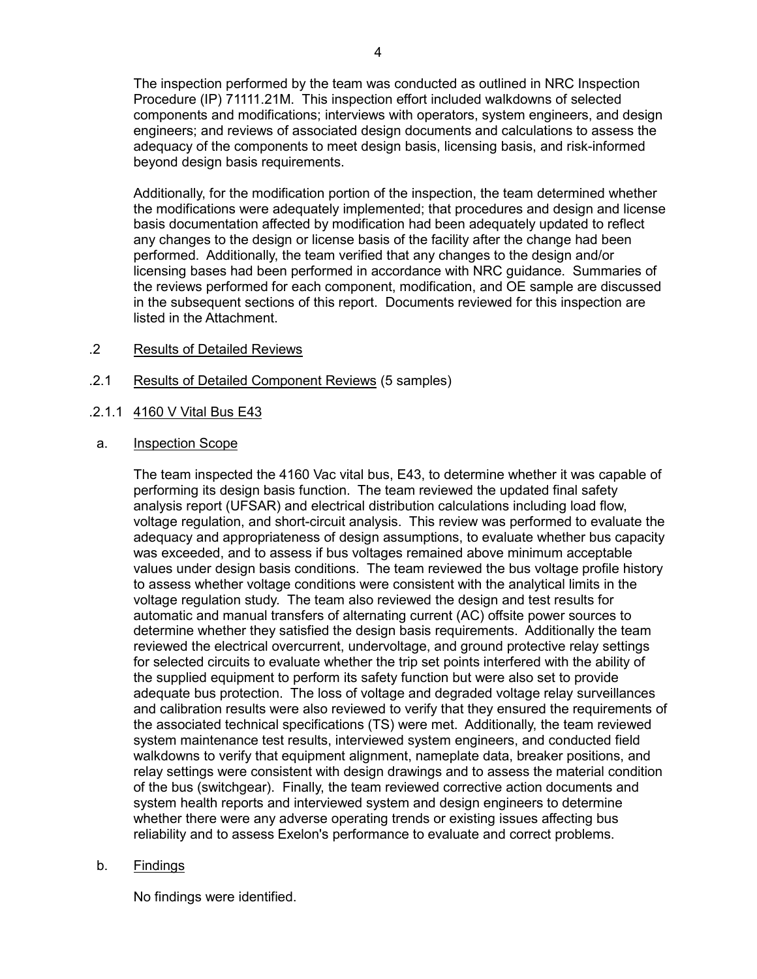The inspection performed by the team was conducted as outlined in NRC Inspection Procedure (IP) 71111.21M. This inspection effort included walkdowns of selected components and modifications; interviews with operators, system engineers, and design engineers; and reviews of associated design documents and calculations to assess the adequacy of the components to meet design basis, licensing basis, and risk-informed beyond design basis requirements.

Additionally, for the modification portion of the inspection, the team determined whether the modifications were adequately implemented; that procedures and design and license basis documentation affected by modification had been adequately updated to reflect any changes to the design or license basis of the facility after the change had been performed. Additionally, the team verified that any changes to the design and/or licensing bases had been performed in accordance with NRC guidance. Summaries of the reviews performed for each component, modification, and OE sample are discussed in the subsequent sections of this report. Documents reviewed for this inspection are listed in the Attachment.

- .2 Results of Detailed Reviews
- .2.1 Results of Detailed Component Reviews (5 samples)
- .2.1.1 4160 V Vital Bus E43
- a. Inspection Scope

The team inspected the 4160 Vac vital bus, E43, to determine whether it was capable of performing its design basis function. The team reviewed the updated final safety analysis report (UFSAR) and electrical distribution calculations including load flow, voltage regulation, and short-circuit analysis. This review was performed to evaluate the adequacy and appropriateness of design assumptions, to evaluate whether bus capacity was exceeded, and to assess if bus voltages remained above minimum acceptable values under design basis conditions. The team reviewed the bus voltage profile history to assess whether voltage conditions were consistent with the analytical limits in the voltage regulation study. The team also reviewed the design and test results for automatic and manual transfers of alternating current (AC) offsite power sources to determine whether they satisfied the design basis requirements. Additionally the team reviewed the electrical overcurrent, undervoltage, and ground protective relay settings for selected circuits to evaluate whether the trip set points interfered with the ability of the supplied equipment to perform its safety function but were also set to provide adequate bus protection. The loss of voltage and degraded voltage relay surveillances and calibration results were also reviewed to verify that they ensured the requirements of the associated technical specifications (TS) were met. Additionally, the team reviewed system maintenance test results, interviewed system engineers, and conducted field walkdowns to verify that equipment alignment, nameplate data, breaker positions, and relay settings were consistent with design drawings and to assess the material condition of the bus (switchgear). Finally, the team reviewed corrective action documents and system health reports and interviewed system and design engineers to determine whether there were any adverse operating trends or existing issues affecting bus reliability and to assess Exelon's performance to evaluate and correct problems.

b. Findings

No findings were identified.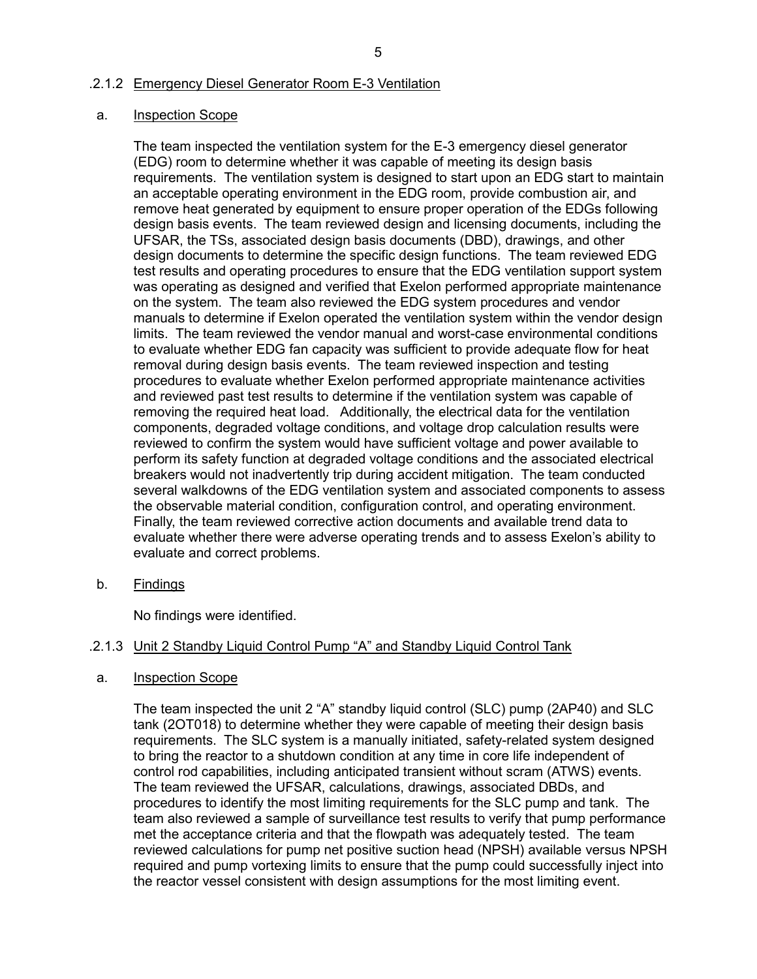### .2.1.2 Emergency Diesel Generator Room E-3 Ventilation

#### a. Inspection Scope

The team inspected the ventilation system for the E-3 emergency diesel generator (EDG) room to determine whether it was capable of meeting its design basis requirements. The ventilation system is designed to start upon an EDG start to maintain an acceptable operating environment in the EDG room, provide combustion air, and remove heat generated by equipment to ensure proper operation of the EDGs following design basis events. The team reviewed design and licensing documents, including the UFSAR, the TSs, associated design basis documents (DBD), drawings, and other design documents to determine the specific design functions. The team reviewed EDG test results and operating procedures to ensure that the EDG ventilation support system was operating as designed and verified that Exelon performed appropriate maintenance on the system. The team also reviewed the EDG system procedures and vendor manuals to determine if Exelon operated the ventilation system within the vendor design limits. The team reviewed the vendor manual and worst-case environmental conditions to evaluate whether EDG fan capacity was sufficient to provide adequate flow for heat removal during design basis events. The team reviewed inspection and testing procedures to evaluate whether Exelon performed appropriate maintenance activities and reviewed past test results to determine if the ventilation system was capable of removing the required heat load. Additionally, the electrical data for the ventilation components, degraded voltage conditions, and voltage drop calculation results were reviewed to confirm the system would have sufficient voltage and power available to perform its safety function at degraded voltage conditions and the associated electrical breakers would not inadvertently trip during accident mitigation. The team conducted several walkdowns of the EDG ventilation system and associated components to assess the observable material condition, configuration control, and operating environment. Finally, the team reviewed corrective action documents and available trend data to evaluate whether there were adverse operating trends and to assess Exelon's ability to evaluate and correct problems.

b. Findings

No findings were identified.

## .2.1.3 Unit 2 Standby Liquid Control Pump "A" and Standby Liquid Control Tank

## a. Inspection Scope

The team inspected the unit 2 "A" standby liquid control (SLC) pump (2AP40) and SLC tank (2OT018) to determine whether they were capable of meeting their design basis requirements. The SLC system is a manually initiated, safety-related system designed to bring the reactor to a shutdown condition at any time in core life independent of control rod capabilities, including anticipated transient without scram (ATWS) events. The team reviewed the UFSAR, calculations, drawings, associated DBDs, and procedures to identify the most limiting requirements for the SLC pump and tank. The team also reviewed a sample of surveillance test results to verify that pump performance met the acceptance criteria and that the flowpath was adequately tested. The team reviewed calculations for pump net positive suction head (NPSH) available versus NPSH required and pump vortexing limits to ensure that the pump could successfully inject into the reactor vessel consistent with design assumptions for the most limiting event.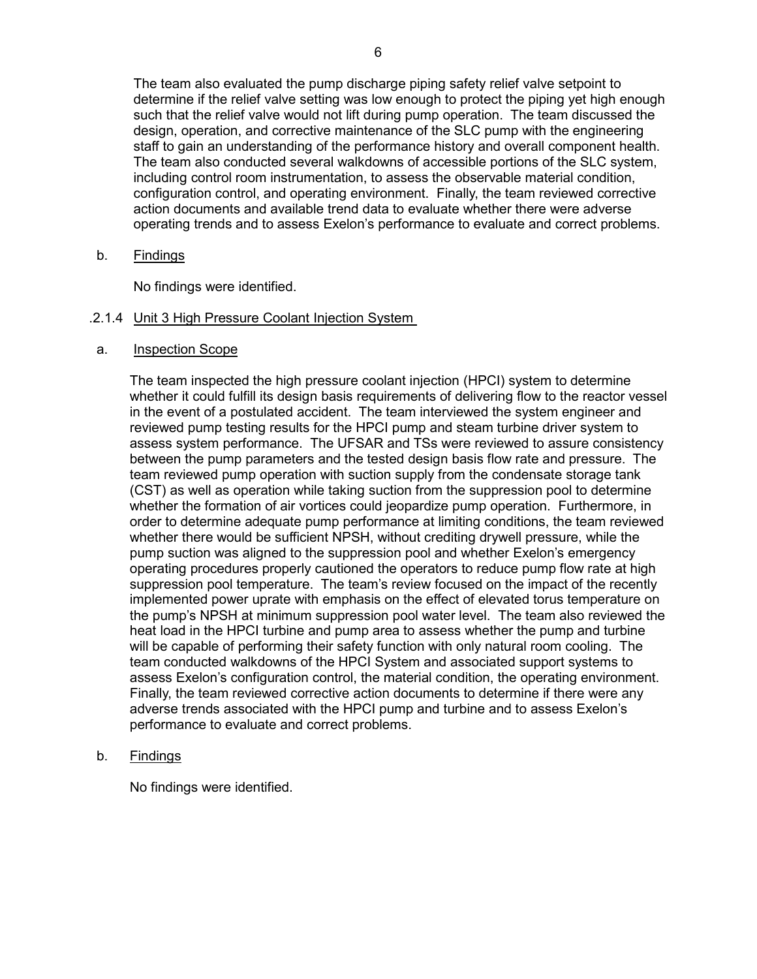The team also evaluated the pump discharge piping safety relief valve setpoint to determine if the relief valve setting was low enough to protect the piping yet high enough such that the relief valve would not lift during pump operation. The team discussed the design, operation, and corrective maintenance of the SLC pump with the engineering staff to gain an understanding of the performance history and overall component health. The team also conducted several walkdowns of accessible portions of the SLC system, including control room instrumentation, to assess the observable material condition, configuration control, and operating environment. Finally, the team reviewed corrective action documents and available trend data to evaluate whether there were adverse operating trends and to assess Exelon's performance to evaluate and correct problems.

b. Findings

No findings were identified.

## .2.1.4 Unit 3 High Pressure Coolant Injection System

## a. Inspection Scope

The team inspected the high pressure coolant injection (HPCI) system to determine whether it could fulfill its design basis requirements of delivering flow to the reactor vessel in the event of a postulated accident. The team interviewed the system engineer and reviewed pump testing results for the HPCI pump and steam turbine driver system to assess system performance. The UFSAR and TSs were reviewed to assure consistency between the pump parameters and the tested design basis flow rate and pressure. The team reviewed pump operation with suction supply from the condensate storage tank (CST) as well as operation while taking suction from the suppression pool to determine whether the formation of air vortices could jeopardize pump operation. Furthermore, in order to determine adequate pump performance at limiting conditions, the team reviewed whether there would be sufficient NPSH, without crediting drywell pressure, while the pump suction was aligned to the suppression pool and whether Exelon's emergency operating procedures properly cautioned the operators to reduce pump flow rate at high suppression pool temperature. The team's review focused on the impact of the recently implemented power uprate with emphasis on the effect of elevated torus temperature on the pump's NPSH at minimum suppression pool water level. The team also reviewed the heat load in the HPCI turbine and pump area to assess whether the pump and turbine will be capable of performing their safety function with only natural room cooling. The team conducted walkdowns of the HPCI System and associated support systems to assess Exelon's configuration control, the material condition, the operating environment. Finally, the team reviewed corrective action documents to determine if there were any adverse trends associated with the HPCI pump and turbine and to assess Exelon's performance to evaluate and correct problems.

b. Findings

No findings were identified.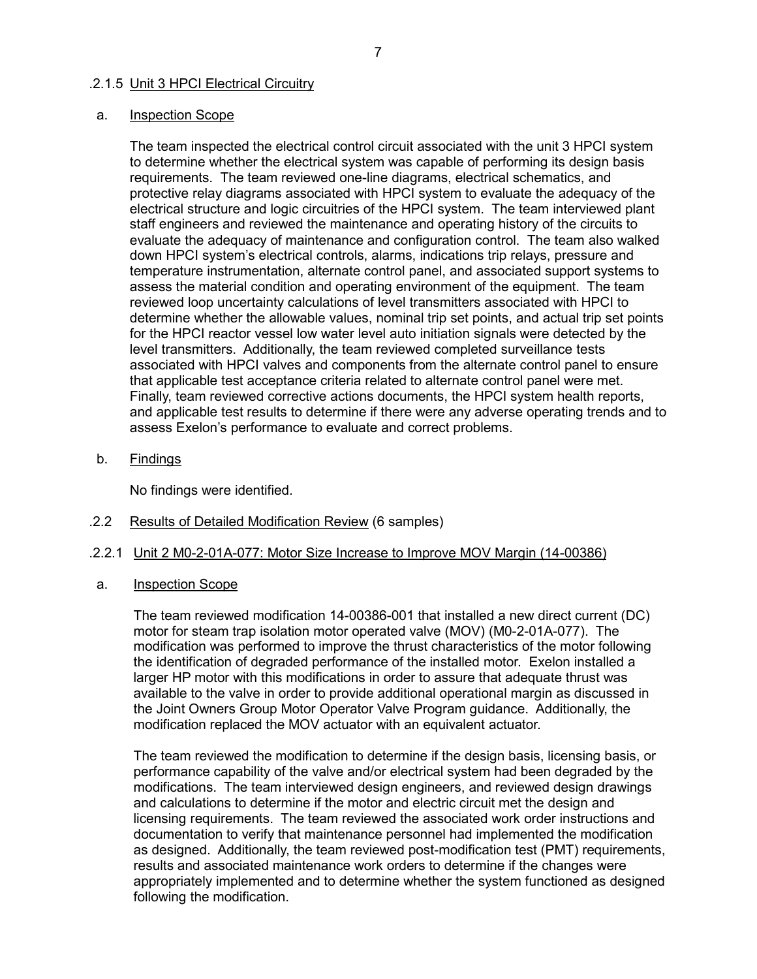### .2.1.5 Unit 3 HPCI Electrical Circuitry

### a. Inspection Scope

The team inspected the electrical control circuit associated with the unit 3 HPCI system to determine whether the electrical system was capable of performing its design basis requirements. The team reviewed one-line diagrams, electrical schematics, and protective relay diagrams associated with HPCI system to evaluate the adequacy of the electrical structure and logic circuitries of the HPCI system. The team interviewed plant staff engineers and reviewed the maintenance and operating history of the circuits to evaluate the adequacy of maintenance and configuration control. The team also walked down HPCI system's electrical controls, alarms, indications trip relays, pressure and temperature instrumentation, alternate control panel, and associated support systems to assess the material condition and operating environment of the equipment. The team reviewed loop uncertainty calculations of level transmitters associated with HPCI to determine whether the allowable values, nominal trip set points, and actual trip set points for the HPCI reactor vessel low water level auto initiation signals were detected by the level transmitters. Additionally, the team reviewed completed surveillance tests associated with HPCI valves and components from the alternate control panel to ensure that applicable test acceptance criteria related to alternate control panel were met. Finally, team reviewed corrective actions documents, the HPCI system health reports, and applicable test results to determine if there were any adverse operating trends and to assess Exelon's performance to evaluate and correct problems.

b. Findings

No findings were identified.

.2.2 Results of Detailed Modification Review (6 samples)

## .2.2.1 Unit 2 M0-2-01A-077: Motor Size Increase to Improve MOV Margin (14-00386)

a. Inspection Scope

The team reviewed modification 14-00386-001 that installed a new direct current (DC) motor for steam trap isolation motor operated valve (MOV) (M0-2-01A-077). The modification was performed to improve the thrust characteristics of the motor following the identification of degraded performance of the installed motor. Exelon installed a larger HP motor with this modifications in order to assure that adequate thrust was available to the valve in order to provide additional operational margin as discussed in the Joint Owners Group Motor Operator Valve Program guidance. Additionally, the modification replaced the MOV actuator with an equivalent actuator.

The team reviewed the modification to determine if the design basis, licensing basis, or performance capability of the valve and/or electrical system had been degraded by the modifications. The team interviewed design engineers, and reviewed design drawings and calculations to determine if the motor and electric circuit met the design and licensing requirements. The team reviewed the associated work order instructions and documentation to verify that maintenance personnel had implemented the modification as designed. Additionally, the team reviewed post-modification test (PMT) requirements, results and associated maintenance work orders to determine if the changes were appropriately implemented and to determine whether the system functioned as designed following the modification.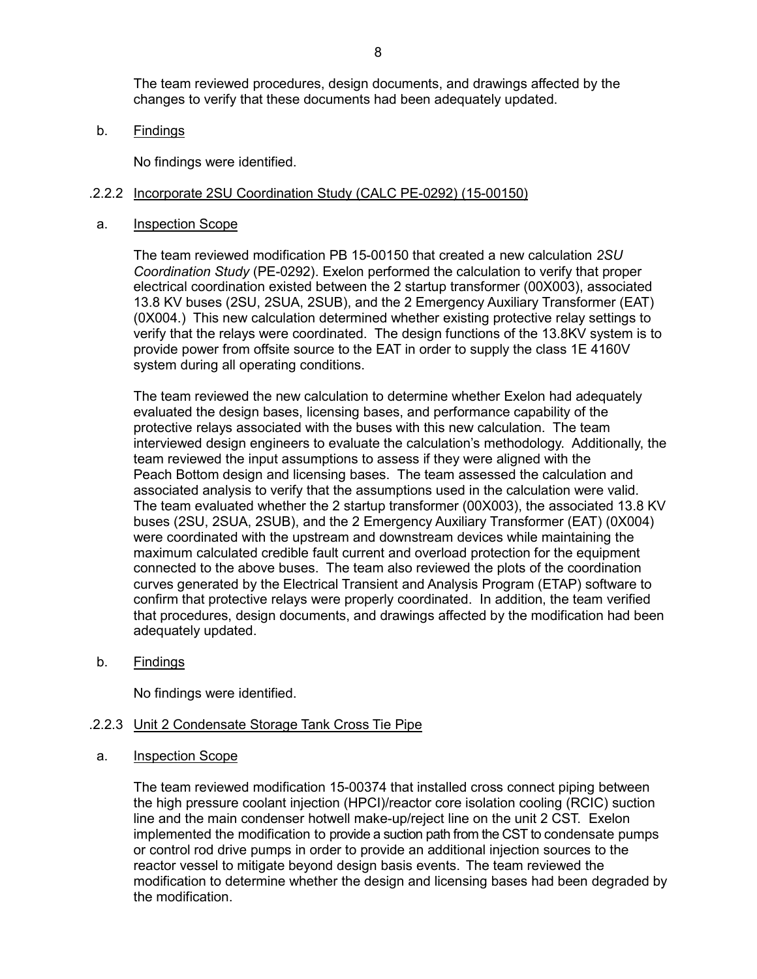The team reviewed procedures, design documents, and drawings affected by the changes to verify that these documents had been adequately updated.

b. Findings

No findings were identified.

#### .2.2.2 Incorporate 2SU Coordination Study (CALC PE-0292) (15-00150)

a. Inspection Scope

The team reviewed modification PB 15-00150 that created a new calculation *2SU Coordination Study* (PE-0292). Exelon performed the calculation to verify that proper electrical coordination existed between the 2 startup transformer (00X003), associated 13.8 KV buses (2SU, 2SUA, 2SUB), and the 2 Emergency Auxiliary Transformer (EAT) (0X004.) This new calculation determined whether existing protective relay settings to verify that the relays were coordinated. The design functions of the 13.8KV system is to provide power from offsite source to the EAT in order to supply the class 1E 4160V system during all operating conditions.

The team reviewed the new calculation to determine whether Exelon had adequately evaluated the design bases, licensing bases, and performance capability of the protective relays associated with the buses with this new calculation. The team interviewed design engineers to evaluate the calculation's methodology. Additionally, the team reviewed the input assumptions to assess if they were aligned with the Peach Bottom design and licensing bases. The team assessed the calculation and associated analysis to verify that the assumptions used in the calculation were valid. The team evaluated whether the 2 startup transformer (00X003), the associated 13.8 KV buses (2SU, 2SUA, 2SUB), and the 2 Emergency Auxiliary Transformer (EAT) (0X004) were coordinated with the upstream and downstream devices while maintaining the maximum calculated credible fault current and overload protection for the equipment connected to the above buses. The team also reviewed the plots of the coordination curves generated by the Electrical Transient and Analysis Program (ETAP) software to confirm that protective relays were properly coordinated. In addition, the team verified that procedures, design documents, and drawings affected by the modification had been adequately updated.

b. Findings

No findings were identified.

#### .2.2.3 Unit 2 Condensate Storage Tank Cross Tie Pipe

a. Inspection Scope

The team reviewed modification 15-00374 that installed cross connect piping between the high pressure coolant injection (HPCI)/reactor core isolation cooling (RCIC) suction line and the main condenser hotwell make-up/reject line on the unit 2 CST. Exelon implemented the modification to provide a suction path from the CST to condensate pumps or control rod drive pumps in order to provide an additional injection sources to the reactor vessel to mitigate beyond design basis events. The team reviewed the modification to determine whether the design and licensing bases had been degraded by the modification.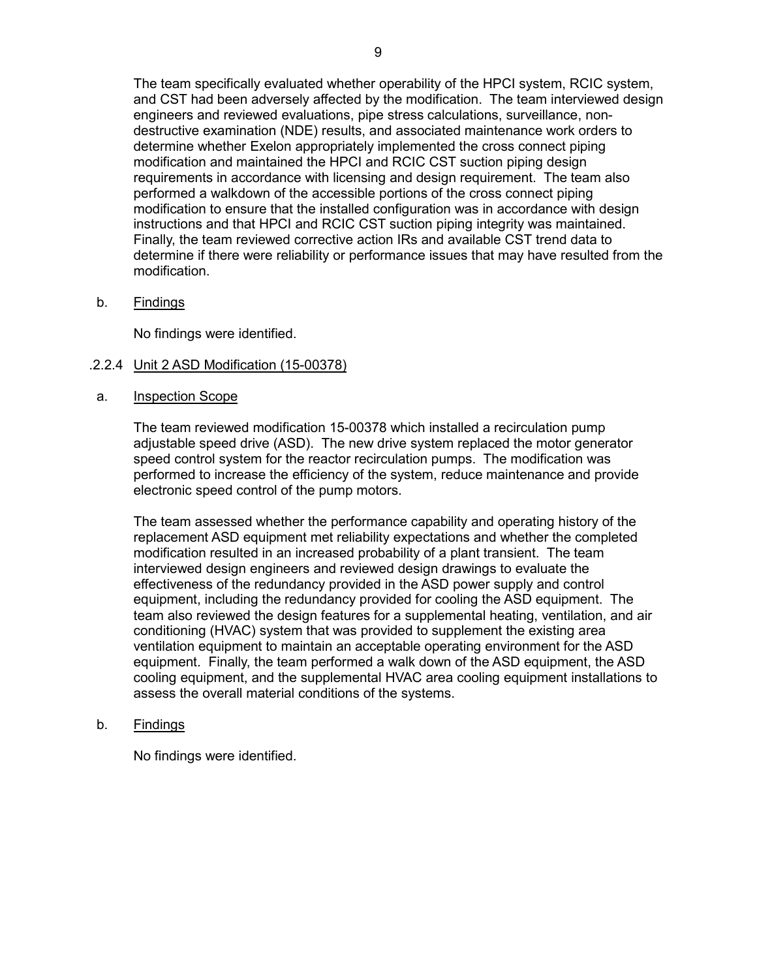The team specifically evaluated whether operability of the HPCI system, RCIC system, and CST had been adversely affected by the modification. The team interviewed design engineers and reviewed evaluations, pipe stress calculations, surveillance, nondestructive examination (NDE) results, and associated maintenance work orders to determine whether Exelon appropriately implemented the cross connect piping modification and maintained the HPCI and RCIC CST suction piping design requirements in accordance with licensing and design requirement. The team also performed a walkdown of the accessible portions of the cross connect piping modification to ensure that the installed configuration was in accordance with design instructions and that HPCI and RCIC CST suction piping integrity was maintained. Finally, the team reviewed corrective action IRs and available CST trend data to determine if there were reliability or performance issues that may have resulted from the modification.

b. Findings

No findings were identified.

## .2.2.4 Unit 2 ASD Modification (15-00378)

## a. Inspection Scope

The team reviewed modification 15-00378 which installed a recirculation pump adjustable speed drive (ASD). The new drive system replaced the motor generator speed control system for the reactor recirculation pumps. The modification was performed to increase the efficiency of the system, reduce maintenance and provide electronic speed control of the pump motors.

The team assessed whether the performance capability and operating history of the replacement ASD equipment met reliability expectations and whether the completed modification resulted in an increased probability of a plant transient. The team interviewed design engineers and reviewed design drawings to evaluate the effectiveness of the redundancy provided in the ASD power supply and control equipment, including the redundancy provided for cooling the ASD equipment. The team also reviewed the design features for a supplemental heating, ventilation, and air conditioning (HVAC) system that was provided to supplement the existing area ventilation equipment to maintain an acceptable operating environment for the ASD equipment. Finally, the team performed a walk down of the ASD equipment, the ASD cooling equipment, and the supplemental HVAC area cooling equipment installations to assess the overall material conditions of the systems.

## b. Findings

No findings were identified.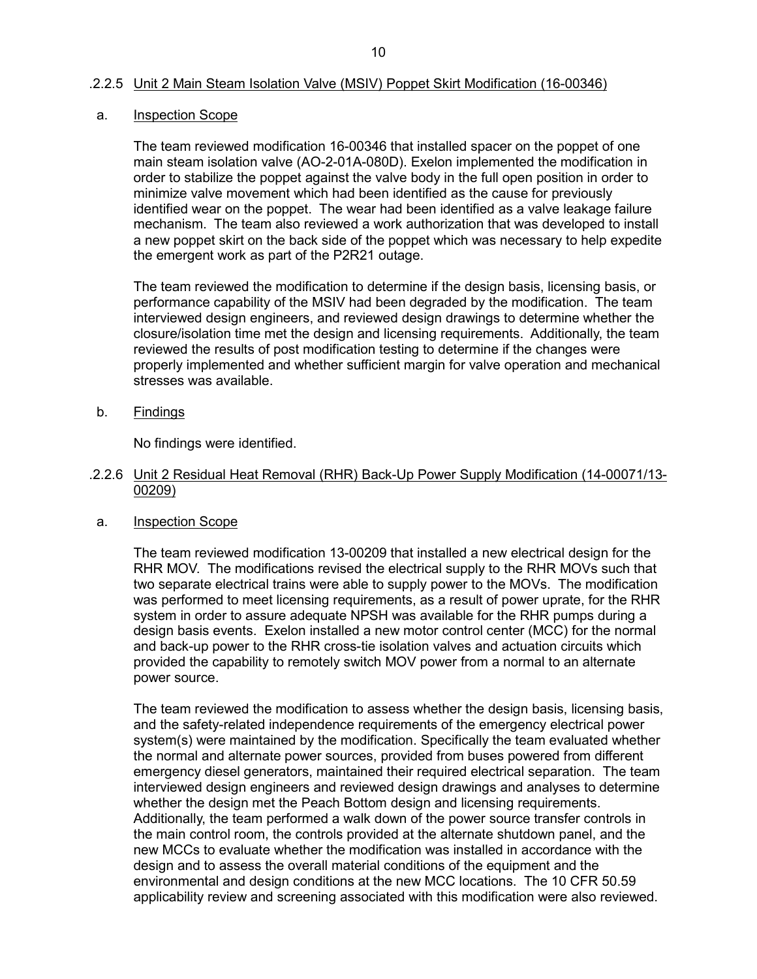### .2.2.5 Unit 2 Main Steam Isolation Valve (MSIV) Poppet Skirt Modification (16-00346)

#### a. Inspection Scope

The team reviewed modification 16-00346 that installed spacer on the poppet of one main steam isolation valve (AO-2-01A-080D). Exelon implemented the modification in order to stabilize the poppet against the valve body in the full open position in order to minimize valve movement which had been identified as the cause for previously identified wear on the poppet. The wear had been identified as a valve leakage failure mechanism. The team also reviewed a work authorization that was developed to install a new poppet skirt on the back side of the poppet which was necessary to help expedite the emergent work as part of the P2R21 outage.

The team reviewed the modification to determine if the design basis, licensing basis, or performance capability of the MSIV had been degraded by the modification. The team interviewed design engineers, and reviewed design drawings to determine whether the closure/isolation time met the design and licensing requirements. Additionally, the team reviewed the results of post modification testing to determine if the changes were properly implemented and whether sufficient margin for valve operation and mechanical stresses was available.

b. Findings

No findings were identified.

- .2.2.6 Unit 2 Residual Heat Removal (RHR) Back-Up Power Supply Modification (14-00071/13- 00209)
- a. Inspection Scope

The team reviewed modification 13-00209 that installed a new electrical design for the RHR MOV. The modifications revised the electrical supply to the RHR MOVs such that two separate electrical trains were able to supply power to the MOVs. The modification was performed to meet licensing requirements, as a result of power uprate, for the RHR system in order to assure adequate NPSH was available for the RHR pumps during a design basis events. Exelon installed a new motor control center (MCC) for the normal and back-up power to the RHR cross-tie isolation valves and actuation circuits which provided the capability to remotely switch MOV power from a normal to an alternate power source.

The team reviewed the modification to assess whether the design basis, licensing basis, and the safety-related independence requirements of the emergency electrical power system(s) were maintained by the modification. Specifically the team evaluated whether the normal and alternate power sources, provided from buses powered from different emergency diesel generators, maintained their required electrical separation. The team interviewed design engineers and reviewed design drawings and analyses to determine whether the design met the Peach Bottom design and licensing requirements. Additionally, the team performed a walk down of the power source transfer controls in the main control room, the controls provided at the alternate shutdown panel, and the new MCCs to evaluate whether the modification was installed in accordance with the design and to assess the overall material conditions of the equipment and the environmental and design conditions at the new MCC locations. The 10 CFR 50.59 applicability review and screening associated with this modification were also reviewed.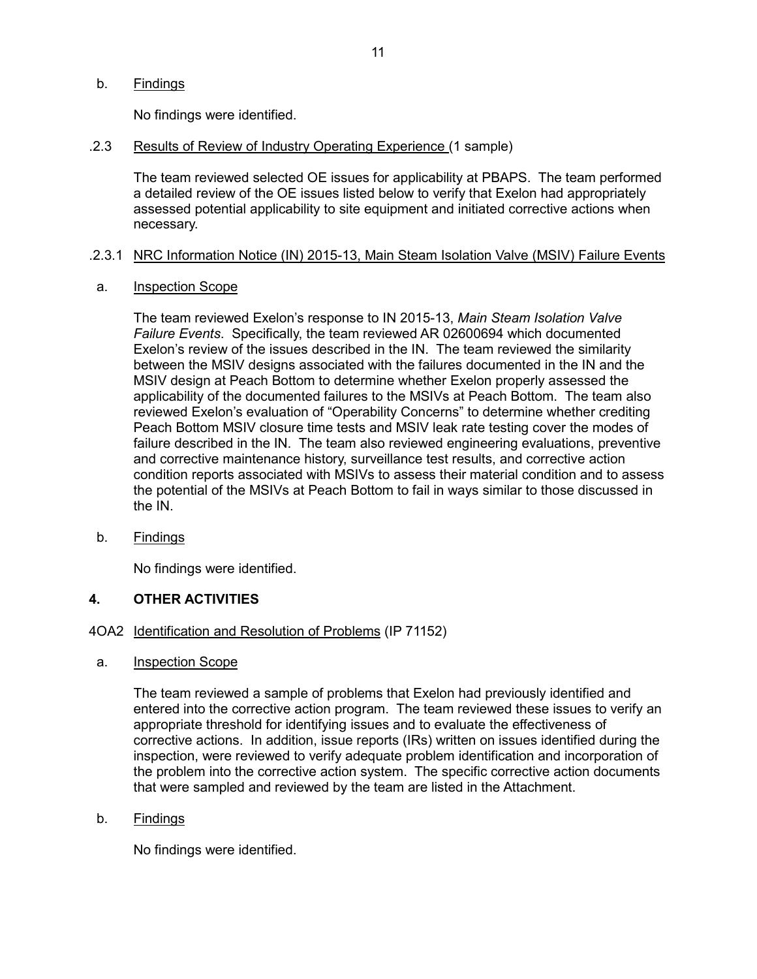b. Findings

No findings were identified.

.2.3 Results of Review of Industry Operating Experience (1 sample)

The team reviewed selected OE issues for applicability at PBAPS. The team performed a detailed review of the OE issues listed below to verify that Exelon had appropriately assessed potential applicability to site equipment and initiated corrective actions when necessary.

## .2.3.1 NRC Information Notice (IN) 2015-13, Main Steam Isolation Valve (MSIV) Failure Events

a. Inspection Scope

The team reviewed Exelon's response to IN 2015-13, *Main Steam Isolation Valve Failure Events*. Specifically, the team reviewed AR 02600694 which documented Exelon's review of the issues described in the IN. The team reviewed the similarity between the MSIV designs associated with the failures documented in the IN and the MSIV design at Peach Bottom to determine whether Exelon properly assessed the applicability of the documented failures to the MSIVs at Peach Bottom. The team also reviewed Exelon's evaluation of "Operability Concerns" to determine whether crediting Peach Bottom MSIV closure time tests and MSIV leak rate testing cover the modes of failure described in the IN. The team also reviewed engineering evaluations, preventive and corrective maintenance history, surveillance test results, and corrective action condition reports associated with MSIVs to assess their material condition and to assess the potential of the MSIVs at Peach Bottom to fail in ways similar to those discussed in the IN.

b. Findings

No findings were identified.

## **4. OTHER ACTIVITIES**

- 4OA2 Identification and Resolution of Problems (IP 71152)
- a. Inspection Scope

The team reviewed a sample of problems that Exelon had previously identified and entered into the corrective action program. The team reviewed these issues to verify an appropriate threshold for identifying issues and to evaluate the effectiveness of corrective actions. In addition, issue reports (IRs) written on issues identified during the inspection, were reviewed to verify adequate problem identification and incorporation of the problem into the corrective action system. The specific corrective action documents that were sampled and reviewed by the team are listed in the Attachment.

b. Findings

No findings were identified.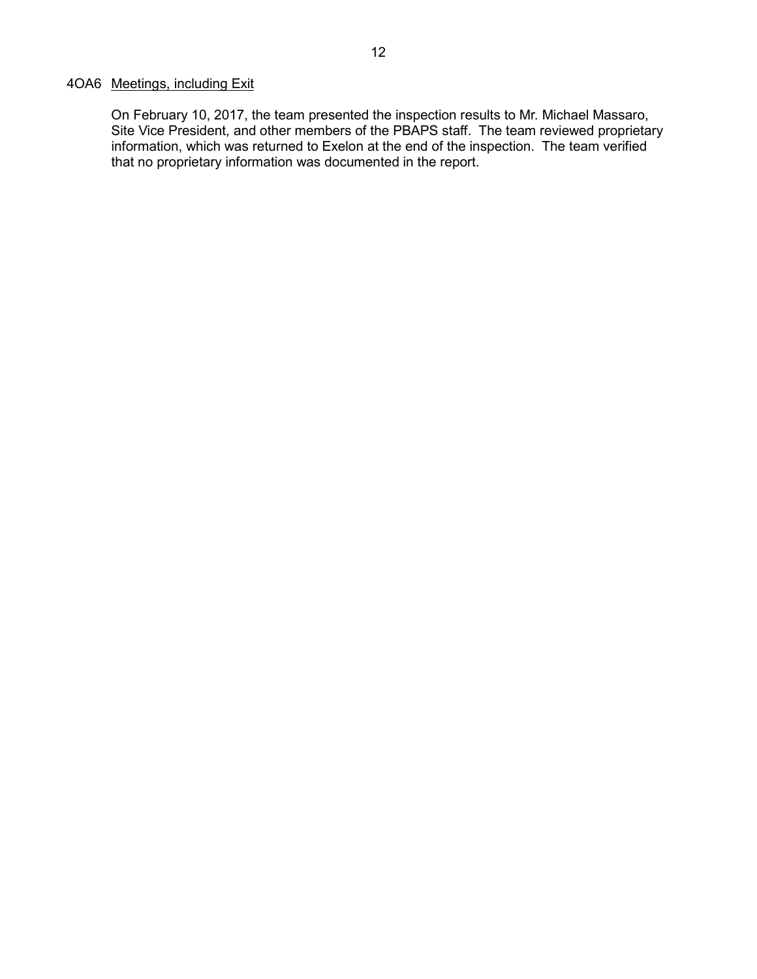## 4OA6 Meetings, including Exit

On February 10, 2017, the team presented the inspection results to Mr. Michael Massaro, Site Vice President, and other members of the PBAPS staff. The team reviewed proprietary information, which was returned to Exelon at the end of the inspection. The team verified that no proprietary information was documented in the report.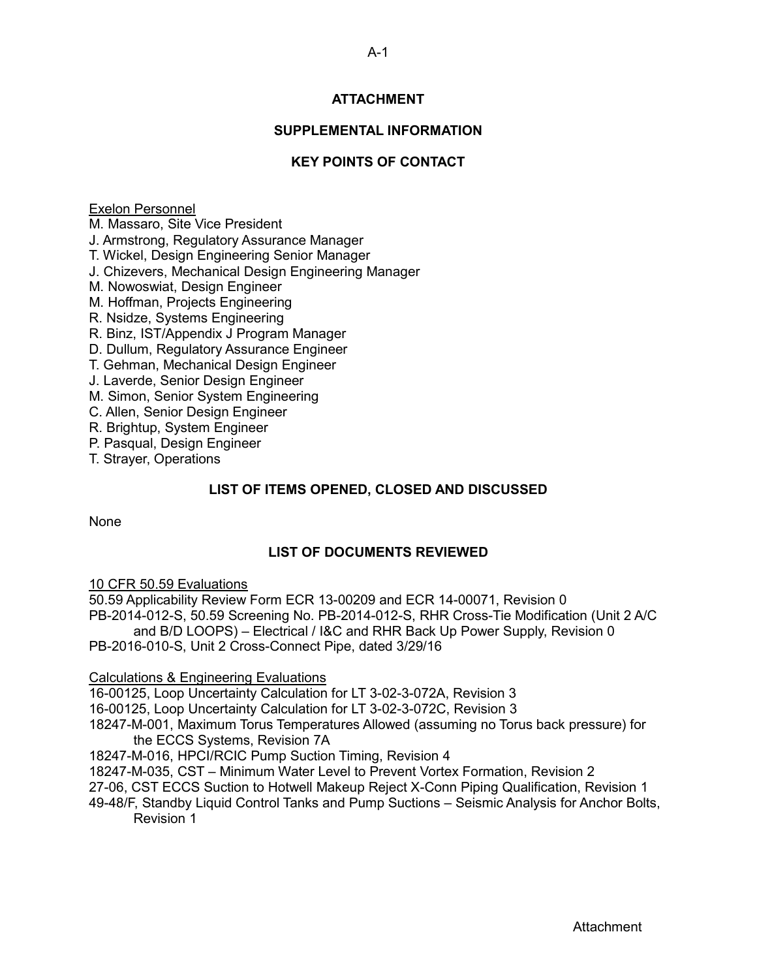## **ATTACHMENT**

## **SUPPLEMENTAL INFORMATION**

## **KEY POINTS OF CONTACT**

## Exelon Personnel

M. Massaro, Site Vice President

J. Armstrong, Regulatory Assurance Manager

T. Wickel, Design Engineering Senior Manager

J. Chizevers, Mechanical Design Engineering Manager

M. Nowoswiat, Design Engineer

M. Hoffman, Projects Engineering

R. Nsidze, Systems Engineering

R. Binz, IST/Appendix J Program Manager

D. Dullum, Regulatory Assurance Engineer

T. Gehman, Mechanical Design Engineer

J. Laverde, Senior Design Engineer

M. Simon, Senior System Engineering

C. Allen, Senior Design Engineer

R. Brightup, System Engineer

P. Pasqual, Design Engineer

T. Strayer, Operations

## **LIST OF ITEMS OPENED, CLOSED AND DISCUSSED**

None

## **LIST OF DOCUMENTS REVIEWED**

10 CFR 50.59 Evaluations

50.59 Applicability Review Form ECR 13-00209 and ECR 14-00071, Revision 0 PB-2014-012-S, 50.59 Screening No. PB-2014-012-S, RHR Cross-Tie Modification (Unit 2 A/C and B/D LOOPS) – Electrical / I&C and RHR Back Up Power Supply, Revision 0

PB-2016-010-S, Unit 2 Cross-Connect Pipe, dated 3/29/16

## Calculations & Engineering Evaluations

16-00125, Loop Uncertainty Calculation for LT 3-02-3-072A, Revision 3

16-00125, Loop Uncertainty Calculation for LT 3-02-3-072C, Revision 3

18247-M-001, Maximum Torus Temperatures Allowed (assuming no Torus back pressure) for the ECCS Systems, Revision 7A

18247-M-016, HPCI/RCIC Pump Suction Timing, Revision 4

18247-M-035, CST – Minimum Water Level to Prevent Vortex Formation, Revision 2

27-06, CST ECCS Suction to Hotwell Makeup Reject X-Conn Piping Qualification, Revision 1

49-48/F, Standby Liquid Control Tanks and Pump Suctions – Seismic Analysis for Anchor Bolts, Revision 1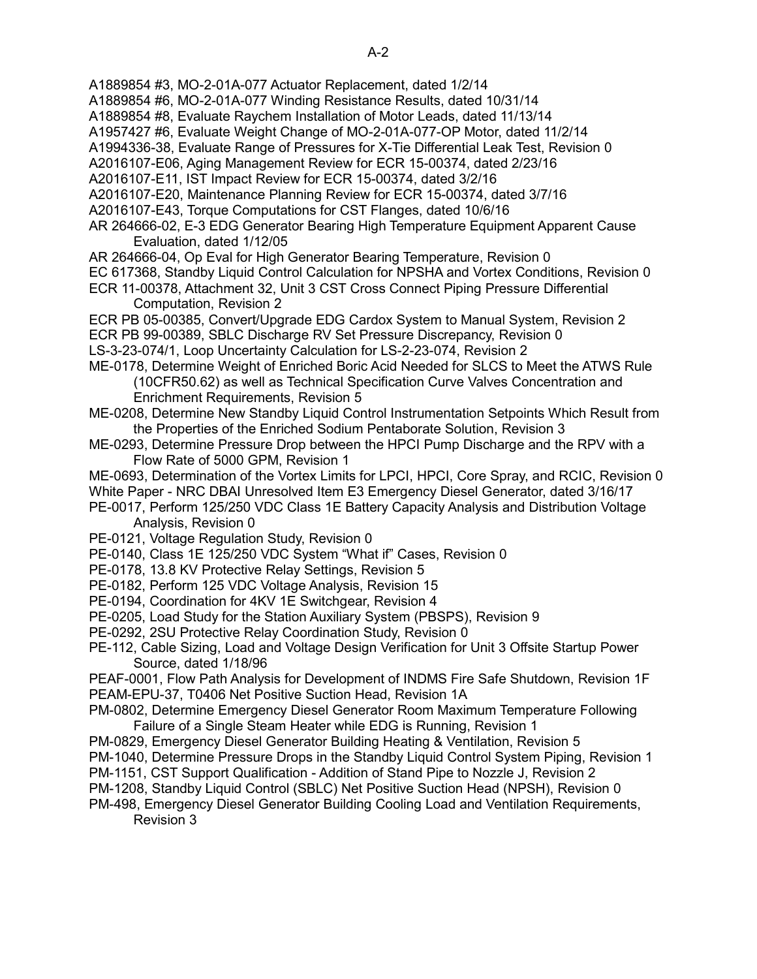A1889854 #3, MO-2-01A-077 Actuator Replacement, dated 1/2/14

A1889854 #6, MO-2-01A-077 Winding Resistance Results, dated 10/31/14

- A1889854 #8, Evaluate Raychem Installation of Motor Leads, dated 11/13/14
- A1957427 #6, Evaluate Weight Change of MO-2-01A-077-OP Motor, dated 11/2/14
- A1994336-38, Evaluate Range of Pressures for X-Tie Differential Leak Test, Revision 0
- A2016107-E06, Aging Management Review for ECR 15-00374, dated 2/23/16
- A2016107-E11, IST Impact Review for ECR 15-00374, dated 3/2/16
- A2016107-E20, Maintenance Planning Review for ECR 15-00374, dated 3/7/16

A2016107-E43, Torque Computations for CST Flanges, dated 10/6/16

## AR 264666-02, E-3 EDG Generator Bearing High Temperature Equipment Apparent Cause Evaluation, dated 1/12/05

- AR 264666-04, Op Eval for High Generator Bearing Temperature, Revision 0
- EC 617368, Standby Liquid Control Calculation for NPSHA and Vortex Conditions, Revision 0
- ECR 11-00378, Attachment 32, Unit 3 CST Cross Connect Piping Pressure Differential Computation, Revision 2
- ECR PB 05-00385, Convert/Upgrade EDG Cardox System to Manual System, Revision 2 ECR PB 99-00389, SBLC Discharge RV Set Pressure Discrepancy, Revision 0 LS-3-23-074/1, Loop Uncertainty Calculation for LS-2-23-074, Revision 2
- ME-0178, Determine Weight of Enriched Boric Acid Needed for SLCS to Meet the ATWS Rule (10CFR50.62) as well as Technical Specification Curve Valves Concentration and Enrichment Requirements, Revision 5
- ME-0208, Determine New Standby Liquid Control Instrumentation Setpoints Which Result from the Properties of the Enriched Sodium Pentaborate Solution, Revision 3
- ME-0293, Determine Pressure Drop between the HPCI Pump Discharge and the RPV with a Flow Rate of 5000 GPM, Revision 1
- ME-0693, Determination of the Vortex Limits for LPCI, HPCI, Core Spray, and RCIC, Revision 0 White Paper - NRC DBAI Unresolved Item E3 Emergency Diesel Generator, dated 3/16/17
- PE-0017, Perform 125/250 VDC Class 1E Battery Capacity Analysis and Distribution Voltage Analysis, Revision 0
- PE-0121, Voltage Regulation Study, Revision 0
- PE-0140, Class 1E 125/250 VDC System "What if" Cases, Revision 0
- PE-0178, 13.8 KV Protective Relay Settings, Revision 5
- PE-0182, Perform 125 VDC Voltage Analysis, Revision 15
- PE-0194, Coordination for 4KV 1E Switchgear, Revision 4
- PE-0205, Load Study for the Station Auxiliary System (PBSPS), Revision 9
- PE-0292, 2SU Protective Relay Coordination Study, Revision 0
- PE-112, Cable Sizing, Load and Voltage Design Verification for Unit 3 Offsite Startup Power Source, dated 1/18/96

PEAF-0001, Flow Path Analysis for Development of INDMS Fire Safe Shutdown, Revision 1F PEAM-EPU-37, T0406 Net Positive Suction Head, Revision 1A

PM-0802, Determine Emergency Diesel Generator Room Maximum Temperature Following Failure of a Single Steam Heater while EDG is Running, Revision 1

- PM-0829, Emergency Diesel Generator Building Heating & Ventilation, Revision 5
- PM-1040, Determine Pressure Drops in the Standby Liquid Control System Piping, Revision 1
- PM-1151, CST Support Qualification Addition of Stand Pipe to Nozzle J, Revision 2
- PM-1208, Standby Liquid Control (SBLC) Net Positive Suction Head (NPSH), Revision 0
- PM-498, Emergency Diesel Generator Building Cooling Load and Ventilation Requirements, Revision 3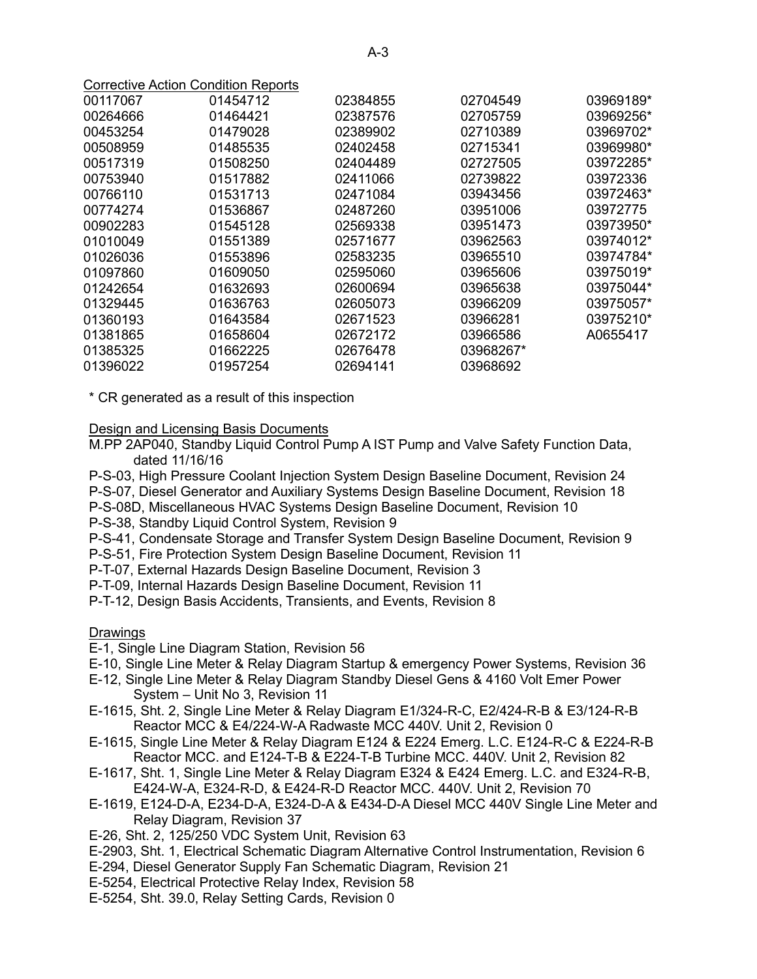|          | <b>Corrective Action Condition Reports</b> |          |           |           |
|----------|--------------------------------------------|----------|-----------|-----------|
| 00117067 | 01454712                                   | 02384855 | 02704549  | 03969189* |
| 00264666 | 01464421                                   | 02387576 | 02705759  | 03969256* |
| 00453254 | 01479028                                   | 02389902 | 02710389  | 03969702* |
| 00508959 | 01485535                                   | 02402458 | 02715341  | 03969980* |
| 00517319 | 01508250                                   | 02404489 | 02727505  | 03972285* |
| 00753940 | 01517882                                   | 02411066 | 02739822  | 03972336  |
| 00766110 | 01531713                                   | 02471084 | 03943456  | 03972463* |
| 00774274 | 01536867                                   | 02487260 | 03951006  | 03972775  |
| 00902283 | 01545128                                   | 02569338 | 03951473  | 03973950* |
| 01010049 | 01551389                                   | 02571677 | 03962563  | 03974012* |
| 01026036 | 01553896                                   | 02583235 | 03965510  | 03974784* |
| 01097860 | 01609050                                   | 02595060 | 03965606  | 03975019* |
| 01242654 | 01632693                                   | 02600694 | 03965638  | 03975044* |
| 01329445 | 01636763                                   | 02605073 | 03966209  | 03975057* |
| 01360193 | 01643584                                   | 02671523 | 03966281  | 03975210* |
| 01381865 | 01658604                                   | 02672172 | 03966586  | A0655417  |
| 01385325 | 01662225                                   | 02676478 | 03968267* |           |
| 01396022 | 01957254                                   | 02694141 | 03968692  |           |

\* CR generated as a result of this inspection

#### Design and Licensing Basis Documents

- M.PP 2AP040, Standby Liquid Control Pump A IST Pump and Valve Safety Function Data, dated 11/16/16
- P-S-03, High Pressure Coolant Injection System Design Baseline Document, Revision 24
- P-S-07, Diesel Generator and Auxiliary Systems Design Baseline Document, Revision 18
- P-S-08D, Miscellaneous HVAC Systems Design Baseline Document, Revision 10
- P-S-38, Standby Liquid Control System, Revision 9
- P-S-41, Condensate Storage and Transfer System Design Baseline Document, Revision 9
- P-S-51, Fire Protection System Design Baseline Document, Revision 11
- P-T-07, External Hazards Design Baseline Document, Revision 3
- P-T-09, Internal Hazards Design Baseline Document, Revision 11
- P-T-12, Design Basis Accidents, Transients, and Events, Revision 8

## **Drawings**

- E-1, Single Line Diagram Station, Revision 56
- E-10, Single Line Meter & Relay Diagram Startup & emergency Power Systems, Revision 36
- E-12, Single Line Meter & Relay Diagram Standby Diesel Gens & 4160 Volt Emer Power System – Unit No 3, Revision 11
- E-1615, Sht. 2, Single Line Meter & Relay Diagram E1/324-R-C, E2/424-R-B & E3/124-R-B Reactor MCC & E4/224-W-A Radwaste MCC 440V. Unit 2, Revision 0
- E-1615, Single Line Meter & Relay Diagram E124 & E224 Emerg. L.C. E124-R-C & E224-R-B Reactor MCC. and E124-T-B & E224-T-B Turbine MCC. 440V. Unit 2, Revision 82
- E-1617, Sht. 1, Single Line Meter & Relay Diagram E324 & E424 Emerg. L.C. and E324-R-B, E424-W-A, E324-R-D, & E424-R-D Reactor MCC. 440V. Unit 2, Revision 70
- E-1619, E124-D-A, E234-D-A, E324-D-A & E434-D-A Diesel MCC 440V Single Line Meter and Relay Diagram, Revision 37
- E-26, Sht. 2, 125/250 VDC System Unit, Revision 63
- E-2903, Sht. 1, Electrical Schematic Diagram Alternative Control Instrumentation, Revision 6
- E-294, Diesel Generator Supply Fan Schematic Diagram, Revision 21
- E-5254, Electrical Protective Relay Index, Revision 58
- E-5254, Sht. 39.0, Relay Setting Cards, Revision 0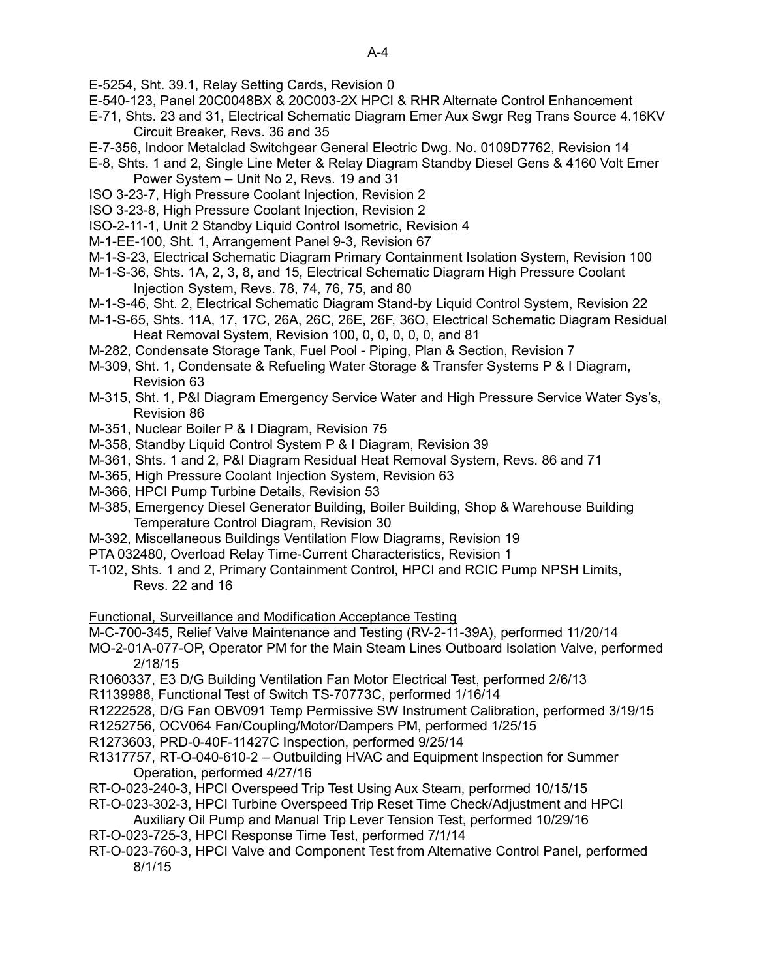E-5254, Sht. 39.1, Relay Setting Cards, Revision 0

- E-540-123, Panel 20C0048BX & 20C003-2X HPCI & RHR Alternate Control Enhancement
- E-71, Shts. 23 and 31, Electrical Schematic Diagram Emer Aux Swgr Reg Trans Source 4.16KV Circuit Breaker, Revs. 36 and 35
- E-7-356, Indoor Metalclad Switchgear General Electric Dwg. No. 0109D7762, Revision 14
- E-8, Shts. 1 and 2, Single Line Meter & Relay Diagram Standby Diesel Gens & 4160 Volt Emer Power System – Unit No 2, Revs. 19 and 31
- ISO 3-23-7, High Pressure Coolant Injection, Revision 2
- ISO 3-23-8, High Pressure Coolant Injection, Revision 2
- ISO-2-11-1, Unit 2 Standby Liquid Control Isometric, Revision 4
- M-1-EE-100, Sht. 1, Arrangement Panel 9-3, Revision 67
- M-1-S-23, Electrical Schematic Diagram Primary Containment Isolation System, Revision 100
- M-1-S-36, Shts. 1A, 2, 3, 8, and 15, Electrical Schematic Diagram High Pressure Coolant Injection System, Revs. 78, 74, 76, 75, and 80
- M-1-S-46, Sht. 2, Electrical Schematic Diagram Stand-by Liquid Control System, Revision 22
- M-1-S-65, Shts. 11A, 17, 17C, 26A, 26C, 26E, 26F, 36O, Electrical Schematic Diagram Residual Heat Removal System, Revision 100, 0, 0, 0, 0, 0, and 81
- M-282, Condensate Storage Tank, Fuel Pool Piping, Plan & Section, Revision 7
- M-309, Sht. 1, Condensate & Refueling Water Storage & Transfer Systems P & I Diagram, Revision 63
- M-315, Sht. 1, P&I Diagram Emergency Service Water and High Pressure Service Water Sys's, Revision 86
- M-351, Nuclear Boiler P & I Diagram, Revision 75
- M-358, Standby Liquid Control System P & I Diagram, Revision 39
- M-361, Shts. 1 and 2, P&I Diagram Residual Heat Removal System, Revs. 86 and 71
- M-365, High Pressure Coolant Injection System, Revision 63
- M-366, HPCI Pump Turbine Details, Revision 53
- M-385, Emergency Diesel Generator Building, Boiler Building, Shop & Warehouse Building Temperature Control Diagram, Revision 30
- M-392, Miscellaneous Buildings Ventilation Flow Diagrams, Revision 19
- PTA 032480, Overload Relay Time-Current Characteristics, Revision 1
- T-102, Shts. 1 and 2, Primary Containment Control, HPCI and RCIC Pump NPSH Limits, Revs. 22 and 16
- Functional, Surveillance and Modification Acceptance Testing
- M-C-700-345, Relief Valve Maintenance and Testing (RV-2-11-39A), performed 11/20/14
- MO-2-01A-077-OP, Operator PM for the Main Steam Lines Outboard Isolation Valve, performed 2/18/15
- R1060337, E3 D/G Building Ventilation Fan Motor Electrical Test, performed 2/6/13
- R1139988, Functional Test of Switch TS-70773C, performed 1/16/14
- R1222528, D/G Fan OBV091 Temp Permissive SW Instrument Calibration, performed 3/19/15
- R1252756, OCV064 Fan/Coupling/Motor/Dampers PM, performed 1/25/15
- R1273603, PRD-0-40F-11427C Inspection, performed 9/25/14
- R1317757, RT-O-040-610-2 Outbuilding HVAC and Equipment Inspection for Summer Operation, performed 4/27/16
- RT-O-023-240-3, HPCI Overspeed Trip Test Using Aux Steam, performed 10/15/15
- RT-O-023-302-3, HPCI Turbine Overspeed Trip Reset Time Check/Adjustment and HPCI
- Auxiliary Oil Pump and Manual Trip Lever Tension Test, performed 10/29/16 RT-O-023-725-3, HPCI Response Time Test, performed 7/1/14
- RT-O-023-760-3, HPCI Valve and Component Test from Alternative Control Panel, performed 8/1/15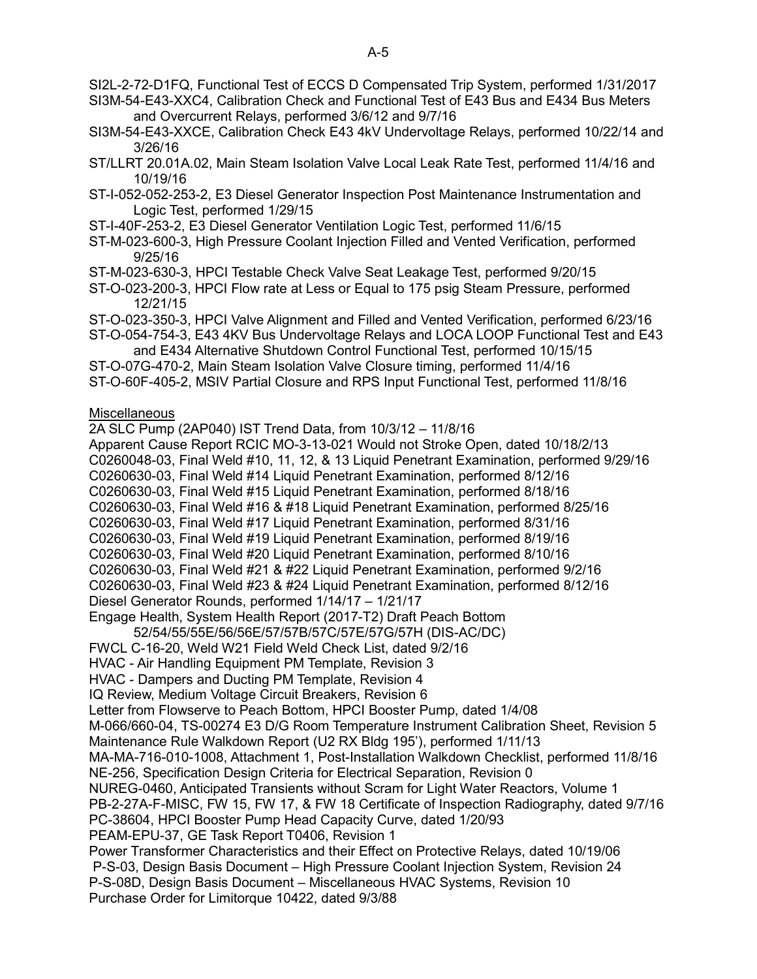SI2L-2-72-D1FQ, Functional Test of ECCS D Compensated Trip System, performed 1/31/2017

SI3M-54-E43-XXC4, Calibration Check and Functional Test of E43 Bus and E434 Bus Meters and Overcurrent Relays, performed 3/6/12 and 9/7/16

- SI3M-54-E43-XXCE, Calibration Check E43 4kV Undervoltage Relays, performed 10/22/14 and 3/26/16
- ST/LLRT 20.01A.02, Main Steam Isolation Valve Local Leak Rate Test, performed 11/4/16 and 10/19/16
- ST-I-052-052-253-2, E3 Diesel Generator Inspection Post Maintenance Instrumentation and Logic Test, performed 1/29/15
- ST-I-40F-253-2, E3 Diesel Generator Ventilation Logic Test, performed 11/6/15
- ST-M-023-600-3, High Pressure Coolant Injection Filled and Vented Verification, performed 9/25/16
- ST-M-023-630-3, HPCI Testable Check Valve Seat Leakage Test, performed 9/20/15
- ST-O-023-200-3, HPCI Flow rate at Less or Equal to 175 psig Steam Pressure, performed 12/21/15
- ST-O-023-350-3, HPCI Valve Alignment and Filled and Vented Verification, performed 6/23/16
- ST-O-054-754-3, E43 4KV Bus Undervoltage Relays and LOCA LOOP Functional Test and E43 and E434 Alternative Shutdown Control Functional Test, performed 10/15/15
- ST-O-07G-470-2, Main Steam Isolation Valve Closure timing, performed 11/4/16
- ST-O-60F-405-2, MSIV Partial Closure and RPS Input Functional Test, performed 11/8/16

## **Miscellaneous**

2A SLC Pump (2AP040) IST Trend Data, from 10/3/12 – 11/8/16 Apparent Cause Report RCIC MO-3-13-021 Would not Stroke Open, dated 10/18/2/13 C0260048-03, Final Weld #10, 11, 12, & 13 Liquid Penetrant Examination, performed 9/29/16 C0260630-03, Final Weld #14 Liquid Penetrant Examination, performed 8/12/16 C0260630-03, Final Weld #15 Liquid Penetrant Examination, performed 8/18/16 C0260630-03, Final Weld #16 & #18 Liquid Penetrant Examination, performed 8/25/16 C0260630-03, Final Weld #17 Liquid Penetrant Examination, performed 8/31/16 C0260630-03, Final Weld #19 Liquid Penetrant Examination, performed 8/19/16 C0260630-03, Final Weld #20 Liquid Penetrant Examination, performed 8/10/16 C0260630-03, Final Weld #21 & #22 Liquid Penetrant Examination, performed 9/2/16 C0260630-03, Final Weld #23 & #24 Liquid Penetrant Examination, performed 8/12/16 Diesel Generator Rounds, performed 1/14/17 – 1/21/17 Engage Health, System Health Report (2017-T2) Draft Peach Bottom

52/54/55/55E/56/56E/57/57B/57C/57E/57G/57H (DIS-AC/DC) FWCL C-16-20, Weld W21 Field Weld Check List, dated 9/2/16 HVAC - Air Handling Equipment PM Template, Revision 3 HVAC - Dampers and Ducting PM Template, Revision 4 IQ Review, Medium Voltage Circuit Breakers, Revision 6 Letter from Flowserve to Peach Bottom, HPCI Booster Pump, dated 1/4/08 M-066/660-04, TS-00274 E3 D/G Room Temperature Instrument Calibration Sheet, Revision 5 Maintenance Rule Walkdown Report (U2 RX Bldg 195'), performed 1/11/13 MA-MA-716-010-1008, Attachment 1, Post-Installation Walkdown Checklist, performed 11/8/16 NE-256, Specification Design Criteria for Electrical Separation, Revision 0 NUREG-0460, Anticipated Transients without Scram for Light Water Reactors, Volume 1 PB-2-27A-F-MISC, FW 15, FW 17, & FW 18 Certificate of Inspection Radiography, dated 9/7/16 PC-38604, HPCI Booster Pump Head Capacity Curve, dated 1/20/93 PEAM-EPU-37, GE Task Report T0406, Revision 1 Power Transformer Characteristics and their Effect on Protective Relays, dated 10/19/06 P-S-03, Design Basis Document – High Pressure Coolant Injection System, Revision 24 P-S-08D, Design Basis Document – Miscellaneous HVAC Systems, Revision 10 Purchase Order for Limitorque 10422, dated 9/3/88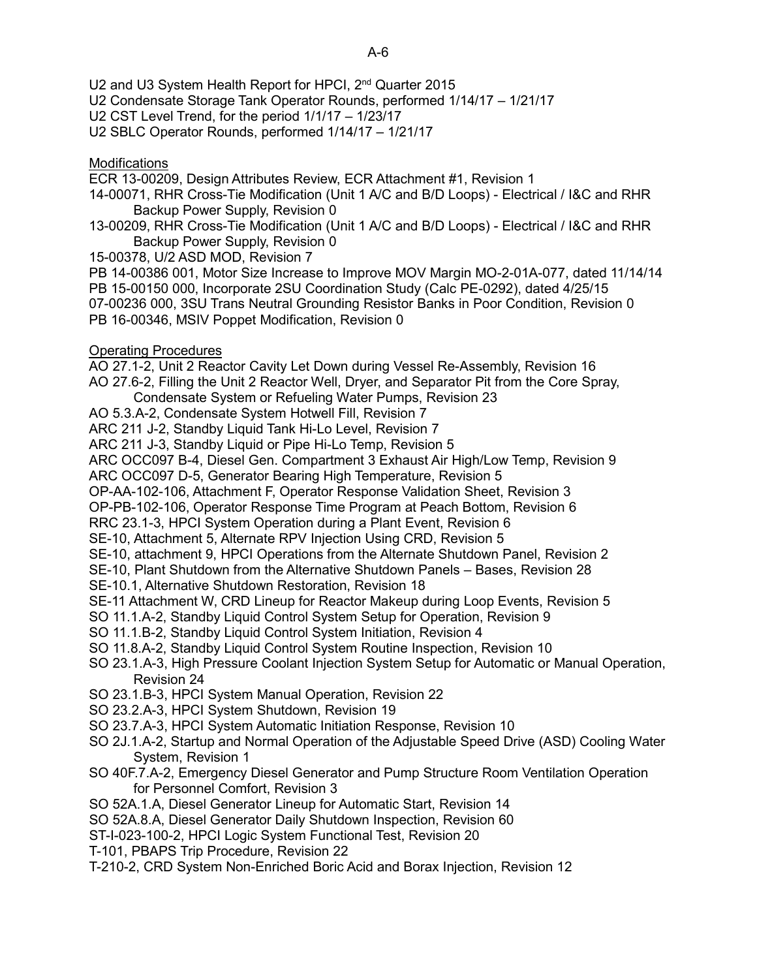- U2 and U3 System Health Report for HPCI, 2<sup>nd</sup> Quarter 2015
- U2 Condensate Storage Tank Operator Rounds, performed 1/14/17 1/21/17
- U2 CST Level Trend, for the period 1/1/17 1/23/17
- U2 SBLC Operator Rounds, performed 1/14/17 1/21/17

## **Modifications**

- ECR 13-00209, Design Attributes Review, ECR Attachment #1, Revision 1
- 14-00071, RHR Cross-Tie Modification (Unit 1 A/C and B/D Loops) Electrical / I&C and RHR Backup Power Supply, Revision 0
- 13-00209, RHR Cross-Tie Modification (Unit 1 A/C and B/D Loops) Electrical / I&C and RHR Backup Power Supply, Revision 0
- 15-00378, U/2 ASD MOD, Revision 7
- PB 14-00386 001, Motor Size Increase to Improve MOV Margin MO-2-01A-077, dated 11/14/14 PB 15-00150 000, Incorporate 2SU Coordination Study (Calc PE-0292), dated 4/25/15 07-00236 000, 3SU Trans Neutral Grounding Resistor Banks in Poor Condition, Revision 0
- PB 16-00346, MSIV Poppet Modification, Revision 0

## Operating Procedures

- AO 27.1-2, Unit 2 Reactor Cavity Let Down during Vessel Re-Assembly, Revision 16
- AO 27.6-2, Filling the Unit 2 Reactor Well, Dryer, and Separator Pit from the Core Spray, Condensate System or Refueling Water Pumps, Revision 23
- AO 5.3.A-2, Condensate System Hotwell Fill, Revision 7
- ARC 211 J-2, Standby Liquid Tank Hi-Lo Level, Revision 7
- ARC 211 J-3, Standby Liquid or Pipe Hi-Lo Temp, Revision 5
- ARC OCC097 B-4, Diesel Gen. Compartment 3 Exhaust Air High/Low Temp, Revision 9
- ARC OCC097 D-5, Generator Bearing High Temperature, Revision 5
- OP-AA-102-106, Attachment F, Operator Response Validation Sheet, Revision 3
- OP-PB-102-106, Operator Response Time Program at Peach Bottom, Revision 6
- RRC 23.1-3, HPCI System Operation during a Plant Event, Revision 6
- SE-10, Attachment 5, Alternate RPV Injection Using CRD, Revision 5
- SE-10, attachment 9, HPCI Operations from the Alternate Shutdown Panel, Revision 2
- SE-10, Plant Shutdown from the Alternative Shutdown Panels Bases, Revision 28
- SE-10.1, Alternative Shutdown Restoration, Revision 18
- SE-11 Attachment W, CRD Lineup for Reactor Makeup during Loop Events, Revision 5
- SO 11.1.A-2, Standby Liquid Control System Setup for Operation, Revision 9
- SO 11.1.B-2, Standby Liquid Control System Initiation, Revision 4
- SO 11.8.A-2, Standby Liquid Control System Routine Inspection, Revision 10
- SO 23.1.A-3, High Pressure Coolant Injection System Setup for Automatic or Manual Operation, Revision 24
- SO 23.1.B-3, HPCI System Manual Operation, Revision 22
- SO 23.2.A-3, HPCI System Shutdown, Revision 19
- SO 23.7.A-3, HPCI System Automatic Initiation Response, Revision 10
- SO 2J.1.A-2, Startup and Normal Operation of the Adjustable Speed Drive (ASD) Cooling Water System, Revision 1
- SO 40F.7.A-2, Emergency Diesel Generator and Pump Structure Room Ventilation Operation for Personnel Comfort, Revision 3
- SO 52A.1.A, Diesel Generator Lineup for Automatic Start, Revision 14
- SO 52A.8.A, Diesel Generator Daily Shutdown Inspection, Revision 60
- ST-I-023-100-2, HPCI Logic System Functional Test, Revision 20
- T-101, PBAPS Trip Procedure, Revision 22
- T-210-2, CRD System Non-Enriched Boric Acid and Borax Injection, Revision 12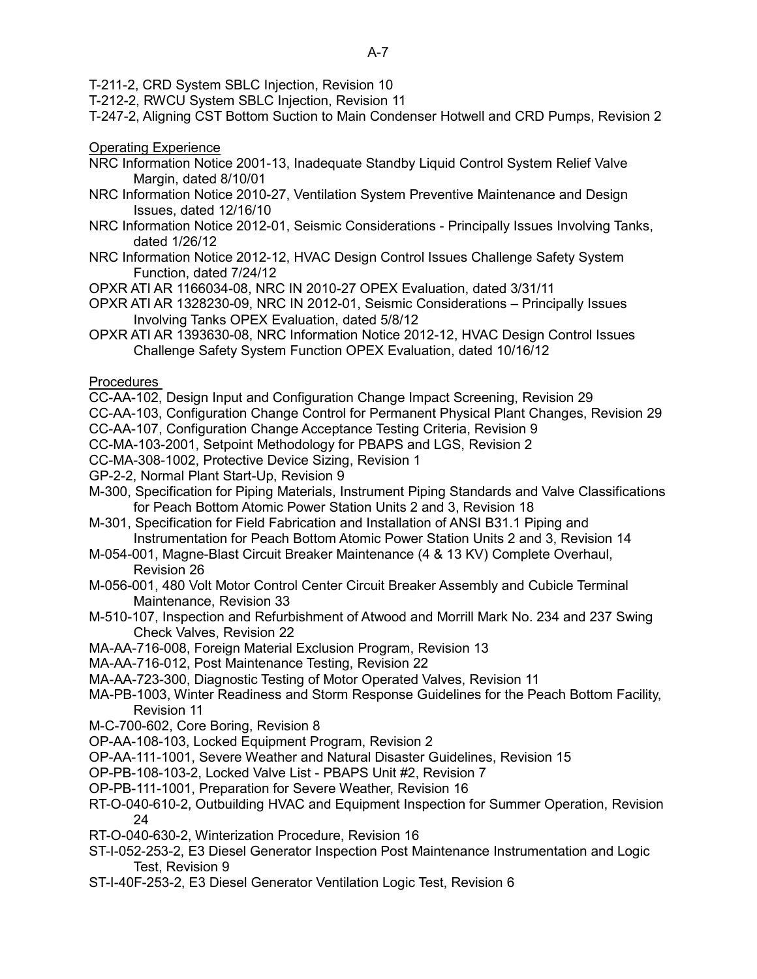T-211-2, CRD System SBLC Injection, Revision 10

T-212-2, RWCU System SBLC Injection, Revision 11

T-247-2, Aligning CST Bottom Suction to Main Condenser Hotwell and CRD Pumps, Revision 2

Operating Experience

- NRC Information Notice 2001-13, Inadequate Standby Liquid Control System Relief Valve Margin, dated 8/10/01
- NRC Information Notice 2010-27, Ventilation System Preventive Maintenance and Design Issues, dated 12/16/10
- NRC Information Notice 2012-01, Seismic Considerations Principally Issues Involving Tanks, dated 1/26/12
- NRC Information Notice 2012-12, HVAC Design Control Issues Challenge Safety System Function, dated 7/24/12
- OPXR ATI AR 1166034-08, NRC IN 2010-27 OPEX Evaluation, dated 3/31/11
- OPXR ATI AR 1328230-09, NRC IN 2012-01, Seismic Considerations Principally Issues Involving Tanks OPEX Evaluation, dated 5/8/12
- OPXR ATI AR 1393630-08, NRC Information Notice 2012-12, HVAC Design Control Issues Challenge Safety System Function OPEX Evaluation, dated 10/16/12

## **Procedures**

- CC-AA-102, Design Input and Configuration Change Impact Screening, Revision 29
- CC-AA-103, Configuration Change Control for Permanent Physical Plant Changes, Revision 29
- CC-AA-107, Configuration Change Acceptance Testing Criteria, Revision 9
- CC-MA-103-2001, Setpoint Methodology for PBAPS and LGS, Revision 2
- CC-MA-308-1002, Protective Device Sizing, Revision 1
- GP-2-2, Normal Plant Start-Up, Revision 9
- M-300, Specification for Piping Materials, Instrument Piping Standards and Valve Classifications for Peach Bottom Atomic Power Station Units 2 and 3, Revision 18
- M-301, Specification for Field Fabrication and Installation of ANSI B31.1 Piping and Instrumentation for Peach Bottom Atomic Power Station Units 2 and 3, Revision 14
- M-054-001, Magne-Blast Circuit Breaker Maintenance (4 & 13 KV) Complete Overhaul, Revision 26
- M-056-001, 480 Volt Motor Control Center Circuit Breaker Assembly and Cubicle Terminal Maintenance, Revision 33
- M-510-107, Inspection and Refurbishment of Atwood and Morrill Mark No. 234 and 237 Swing Check Valves, Revision 22
- MA-AA-716-008, Foreign Material Exclusion Program, Revision 13
- MA-AA-716-012, Post Maintenance Testing, Revision 22
- MA-AA-723-300, Diagnostic Testing of Motor Operated Valves, Revision 11
- MA-PB-1003, Winter Readiness and Storm Response Guidelines for the Peach Bottom Facility, Revision 11
- M-C-700-602, Core Boring, Revision 8
- OP-AA-108-103, Locked Equipment Program, Revision 2
- OP-AA-111-1001, Severe Weather and Natural Disaster Guidelines, Revision 15
- OP-PB-108-103-2, Locked Valve List PBAPS Unit #2, Revision 7
- OP-PB-111-1001, Preparation for Severe Weather, Revision 16
- RT-O-040-610-2, Outbuilding HVAC and Equipment Inspection for Summer Operation, Revision 24
- RT-O-040-630-2, Winterization Procedure, Revision 16
- ST-I-052-253-2, E3 Diesel Generator Inspection Post Maintenance Instrumentation and Logic Test, Revision 9
- ST-I-40F-253-2, E3 Diesel Generator Ventilation Logic Test, Revision 6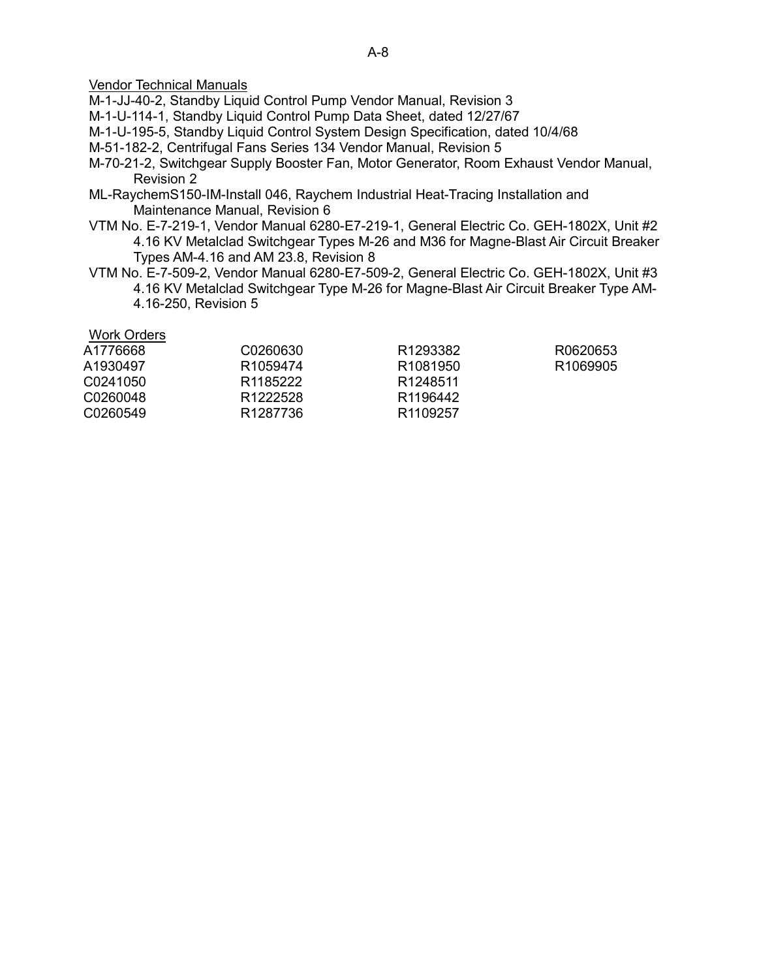## Vendor Technical Manuals

M-1-JJ-40-2, Standby Liquid Control Pump Vendor Manual, Revision 3

M-1-U-114-1, Standby Liquid Control Pump Data Sheet, dated 12/27/67

M-1-U-195-5, Standby Liquid Control System Design Specification, dated 10/4/68

M-51-182-2, Centrifugal Fans Series 134 Vendor Manual, Revision 5

- M-70-21-2, Switchgear Supply Booster Fan, Motor Generator, Room Exhaust Vendor Manual, Revision 2
- ML-RaychemS150-IM-Install 046, Raychem Industrial Heat-Tracing Installation and Maintenance Manual, Revision 6
- VTM No. E-7-219-1, Vendor Manual 6280-E7-219-1, General Electric Co. GEH-1802X, Unit #2 4.16 KV Metalclad Switchgear Types M-26 and M36 for Magne-Blast Air Circuit Breaker Types AM-4.16 and AM 23.8, Revision 8
- VTM No. E-7-509-2, Vendor Manual 6280-E7-509-2, General Electric Co. GEH-1802X, Unit #3 4.16 KV Metalclad Switchgear Type M-26 for Magne-Blast Air Circuit Breaker Type AM-4.16-250, Revision 5

#### Work Orders

| A1776668 | C0260630             | R <sub>1293382</sub> | R0620653             |
|----------|----------------------|----------------------|----------------------|
| A1930497 | R <sub>1059474</sub> | R <sub>1081950</sub> | R <sub>1069905</sub> |
| C0241050 | R <sub>1185222</sub> | R1248511             |                      |
| C0260048 | R <sub>1222528</sub> | R <sub>1196442</sub> |                      |
| C0260549 | R1287736             | R <sub>1109257</sub> |                      |